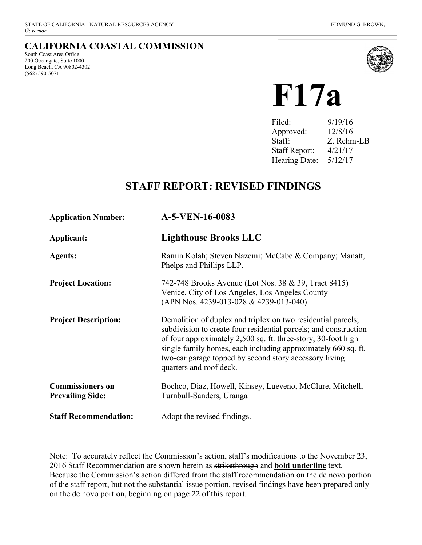# **CALIFORNIA COASTAL COMMISSION**

South Coast Area Office 200 Oceangate, Suite 1000 Long Beach, CA 90802-4302 (562) 590-5071



# **F17a**

| Filed:               | 9/19/16    |
|----------------------|------------|
| Approved:            | 12/8/16    |
| Staff:               | Z. Rehm-LB |
| <b>Staff Report:</b> | 4/21/17    |
| Hearing Date:        | 5/12/17    |
|                      |            |

# **STAFF REPORT: REVISED FINDINGS**

| <b>Application Number:</b>                         | A-5-VEN-16-0083                                                                                                                                                                                                                                                                                                                                         |
|----------------------------------------------------|---------------------------------------------------------------------------------------------------------------------------------------------------------------------------------------------------------------------------------------------------------------------------------------------------------------------------------------------------------|
| Applicant:                                         | <b>Lighthouse Brooks LLC</b>                                                                                                                                                                                                                                                                                                                            |
| <b>Agents:</b>                                     | Ramin Kolah; Steven Nazemi; McCabe & Company; Manatt,<br>Phelps and Phillips LLP.                                                                                                                                                                                                                                                                       |
| <b>Project Location:</b>                           | 742-748 Brooks Avenue (Lot Nos. 38 & 39, Tract 8415)<br>Venice, City of Los Angeles, Los Angeles County<br>(APN Nos. 4239-013-028 & 4239-013-040).                                                                                                                                                                                                      |
| <b>Project Description:</b>                        | Demolition of duplex and triplex on two residential parcels;<br>subdivision to create four residential parcels; and construction<br>of four approximately 2,500 sq. ft. three-story, 30-foot high<br>single family homes, each including approximately 660 sq. ft.<br>two-car garage topped by second story accessory living<br>quarters and roof deck. |
| <b>Commissioners on</b><br><b>Prevailing Side:</b> | Bochco, Diaz, Howell, Kinsey, Lueveno, McClure, Mitchell,<br>Turnbull-Sanders, Uranga                                                                                                                                                                                                                                                                   |
| <b>Staff Recommendation:</b>                       | Adopt the revised findings.                                                                                                                                                                                                                                                                                                                             |

Note: To accurately reflect the Commission's action, staff's modifications to the November 23, 2016 Staff Recommendation are shown herein as strikethrough and **bold underline** text. Because the Commission's action differed from the staff recommendation on the de novo portion of the staff report, but not the substantial issue portion, revised findings have been prepared only on the de novo portion, beginning on page 22 of this report.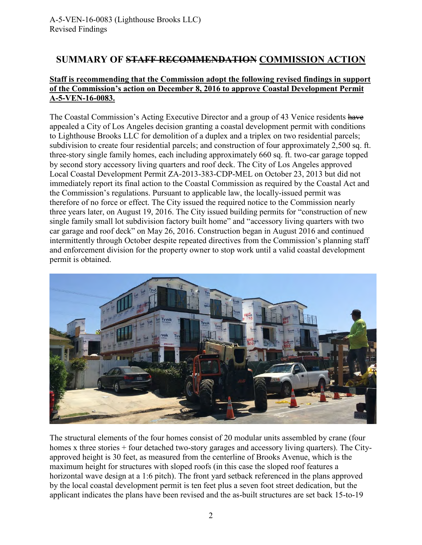# **SUMMARY OF STAFF RECOMMENDATION COMMISSION ACTION**

## **Staff is recommending that the Commission adopt the following revised findings in support of the Commission's action on December 8, 2016 to approve Coastal Development Permit A-5-VEN-16-0083.**

The Coastal Commission's Acting Executive Director and a group of 43 Venice residents have appealed a City of Los Angeles decision granting a coastal development permit with conditions to Lighthouse Brooks LLC for demolition of a duplex and a triplex on two residential parcels; subdivision to create four residential parcels; and construction of four approximately 2,500 sq. ft. three-story single family homes, each including approximately 660 sq. ft. two-car garage topped by second story accessory living quarters and roof deck. The City of Los Angeles approved Local Coastal Development Permit ZA-2013-383-CDP-MEL on October 23, 2013 but did not immediately report its final action to the Coastal Commission as required by the Coastal Act and the Commission's regulations. Pursuant to applicable law, the locally-issued permit was therefore of no force or effect. The City issued the required notice to the Commission nearly three years later, on August 19, 2016. The City issued building permits for "construction of new single family small lot subdivision factory built home" and "accessory living quarters with two car garage and roof deck" on May 26, 2016. Construction began in August 2016 and continued intermittently through October despite repeated directives from the Commission's planning staff and enforcement division for the property owner to stop work until a valid coastal development permit is obtained.



The structural elements of the four homes consist of 20 modular units assembled by crane (four homes x three stories + four detached two-story garages and accessory living quarters). The Cityapproved height is 30 feet, as measured from the centerline of Brooks Avenue, which is the maximum height for structures with sloped roofs (in this case the sloped roof features a horizontal wave design at a 1:6 pitch). The front yard setback referenced in the plans approved by the local coastal development permit is ten feet plus a seven foot street dedication, but the applicant indicates the plans have been revised and the as-built structures are set back 15-to-19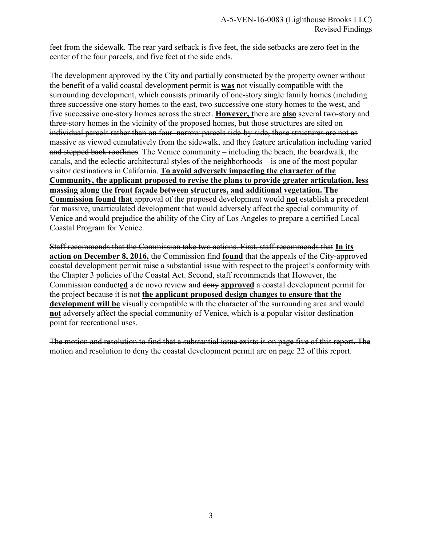feet from the sidewalk. The rear yard setback is five feet, the side setbacks are zero feet in the center of the four parcels, and five feet at the side ends.

The development approved by the City and partially constructed by the property owner without the benefit of a valid coastal development permit is **was** not visually compatible with the surrounding development, which consists primarily of one-story single family homes (including three successive one-story homes to the east, two successive one-story homes to the west, and five successive one-story homes across the street. **However, t**here are **also** several two-story and three-story homes in the vicinity of the proposed homes, but those structures are sited on individual parcels rather than on four narrow parcels side-by-side, those structures are not as massive as viewed cumulatively from the sidewalk, and they feature articulation including varied and stepped back rooflines. The Venice community – including the beach, the boardwalk, the canals, and the eclectic architectural styles of the neighborhoods – is one of the most popular visitor destinations in California. **To avoid adversely impacting the character of the Community, the applicant proposed to revise the plans to provide greater articulation, less massing along the front façade between structures, and additional vegetation. The Commission found that** approval of the proposed development would **not** establish a precedent for massive, unarticulated development that would adversely affect the special community of Venice and would prejudice the ability of the City of Los Angeles to prepare a certified Local Coastal Program for Venice.

Staff recommends that the Commission take two actions. First, staff recommends that **In its action on December 8, 2016,** the Commission find **found** that the appeals of the City-approved coastal development permit raise a substantial issue with respect to the project's conformity with the Chapter 3 policies of the Coastal Act. Second, staff recommends that However, the Commission conduct**ed** a de novo review and deny **approved** a coastal development permit for the project because it is not **the applicant proposed design changes to ensure that the development will be** visually compatible with the character of the surrounding area and would **not** adversely affect the special community of Venice, which is a popular visitor destination point for recreational uses.

The motion and resolution to find that a substantial issue exists is on page five of this report. The motion and resolution to deny the coastal development permit are on page 22 of this report.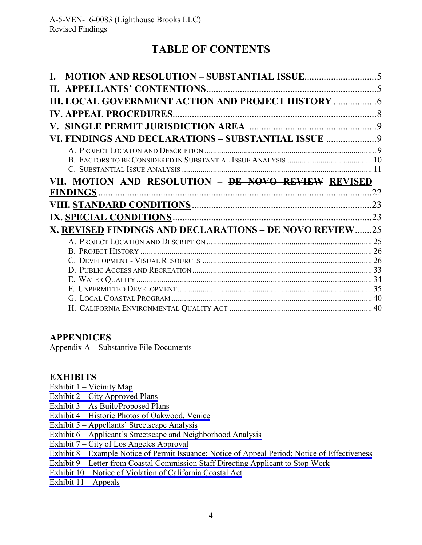# **TABLE OF CONTENTS**

| <b>III. LOCAL GOVERNMENT ACTION AND PROJECT HISTORY </b>       |     |
|----------------------------------------------------------------|-----|
|                                                                |     |
|                                                                |     |
| VI. FINDINGS AND DECLARATIONS - SUBSTANTIAL ISSUE 9            |     |
|                                                                |     |
|                                                                |     |
|                                                                |     |
| VII. MOTION AND RESOLUTION - <del>DE NOVO REVIEW</del> REVISED |     |
| <b>FINDINGS</b>                                                | .22 |
|                                                                | .23 |
|                                                                | .23 |
| X. REVISED FINDINGS AND DECLARATIONS - DE NOVO REVIEW25        |     |
|                                                                |     |
|                                                                |     |
|                                                                |     |
|                                                                |     |
|                                                                |     |
|                                                                |     |
|                                                                |     |
|                                                                |     |

## **APPENDICES**

Appendix A – [Substantive File Documents](#page-40-0)

## **EXHIBITS**

- Exhibit 1 [Vicinity Map](https://documents.coastal.ca.gov/reports/2017/5/F17a/F17a-5-2017-exhibits.pdf)
- Exhibit 2 [City Approved Plans](https://documents.coastal.ca.gov/reports/2017/5/F17a/F17a-5-2017-exhibits.pdf)
- [Exhibit 3 As Built/Proposed Plans](https://documents.coastal.ca.gov/reports/2017/5/F17a/F17a-5-2017-exhibits.pdf)
- [Exhibit 4 Historic Photos of Oakwood, Venice](https://documents.coastal.ca.gov/reports/2017/5/F17a/F17a-5-2017-exhibits.pdf)
- [Exhibit 5 Appellants' Streetscape Analysis](https://documents.coastal.ca.gov/reports/2017/5/F17a/F17a-5-2017-exhibits.pdf)
- [Exhibit 6 Applicant's Streetscape and Neighborhood Analysis](https://documents.coastal.ca.gov/reports/2017/5/F17a/F17a-5-2017-exhibits.pdf)
- [Exhibit 7 City of Los Angeles Approval](https://documents.coastal.ca.gov/reports/2017/5/F17a/F17a-5-2017-exhibits.pdf)
- [Exhibit 8 Example Notice of Permit Issuance; Notice of Appeal Period; Notice of Effectiveness](https://documents.coastal.ca.gov/reports/2017/5/F17a/F17a-5-2017-exhibits.pdf)
- [Exhibit 9 Letter from Coastal Commission Staff Directing Applicant to Stop Work](https://documents.coastal.ca.gov/reports/2017/5/F17a/F17a-5-2017-exhibits.pdf)
- Exhibit 10 [Notice of Violation of California Coastal Act](https://documents.coastal.ca.gov/reports/2017/5/F17a/F17a-5-2017-exhibits.pdf)
- [Exhibit 11 –](https://documents.coastal.ca.gov/reports/2017/5/F17a/F17a-5-2017-exhibits.pdf) Appeals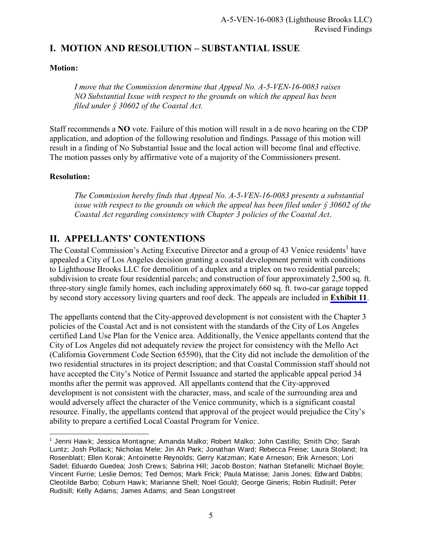# <span id="page-4-0"></span>**I. MOTION AND RESOLUTION – SUBSTANTIAL ISSUE**

**Motion:**

*I move that the Commission determine that Appeal No. A-5-VEN-16-0083 raises NO Substantial Issue with respect to the grounds on which the appeal has been filed under § 30602 of the Coastal Act.*

Staff recommends a **NO** vote. Failure of this motion will result in a de novo hearing on the CDP application, and adoption of the following resolution and findings. Passage of this motion will result in a finding of No Substantial Issue and the local action will become final and effective. The motion passes only by affirmative vote of a majority of the Commissioners present.

## **Resolution:**

*The Commission hereby finds that Appeal No. A-5-VEN-16-0083 presents a substantial issue with respect to the grounds on which the appeal has been filed under § 30602 of the Coastal Act regarding consistency with Chapter 3 policies of the Coastal Act*.

# **II. APPELLANTS' CONTENTIONS**

The Coastal Commission's Acting Executive Director and a group of 43 Venice residents<sup>1</sup> have appealed a City of Los Angeles decision granting a coastal development permit with conditions to Lighthouse Brooks LLC for demolition of a duplex and a triplex on two residential parcels; subdivision to create four residential parcels; and construction of four approximately 2,500 sq. ft. three-story single family homes, each including approximately 660 sq. ft. two-car garage topped by second story accessory living quarters and roof deck. The appeals are included in **[Exhibit 11](https://documents.coastal.ca.gov/reports/2017/5/F17a/F17a-5-2017-exhibits.pdf)**.

The appellants contend that the City-approved development is not consistent with the Chapter 3 policies of the Coastal Act and is not consistent with the standards of the City of Los Angeles certified Land Use Plan for the Venice area. Additionally, the Venice appellants contend that the City of Los Angeles did not adequately review the project for consistency with the Mello Act (California Government Code Section 65590), that the City did not include the demolition of the two residential structures in its project description; and that Coastal Commission staff should not have accepted the City's Notice of Permit Issuance and started the applicable appeal period 34 months after the permit was approved. All appellants contend that the City-approved development is not consistent with the character, mass, and scale of the surrounding area and would adversely affect the character of the Venice community, which is a significant coastal resource. Finally, the appellants contend that approval of the project would prejudice the City's ability to prepare a certified Local Coastal Program for Venice.

 $\overline{a}$ <sup>1</sup> Jenni Hawk; Jessica Montagne; Amanda Malko; Robert Malko; John Castillo; Smith Cho; Sarah Luntz; Josh Pollack; Nicholas Mele; Jin Ah Park; Jonathan Ward; Rebecca Freise; Laura Stoland; Ira Rosenblatt; Ellen Korak; Antoinette Reynolds; Gerry Katzman; Kat e Arneson; Erik Arneson; Lori Sadel; Eduardo Guedea; Josh Crew s; Sabrina Hill; Jacob Boston; Nathan Stefanelli; Michael Boyle; Vincent Furrie; Leslie Demos; Ted Demos; Mark Frick; Paula Matisse; Janis Jones; Edw ard Dabbs; Cleotilde Barbo; Coburn Haw k; Marianne Shell; Noel Gould; George Gineris; Robin Rudisill; Peter Rudisill; Kelly Adams; James Adams; and Sean Longstreet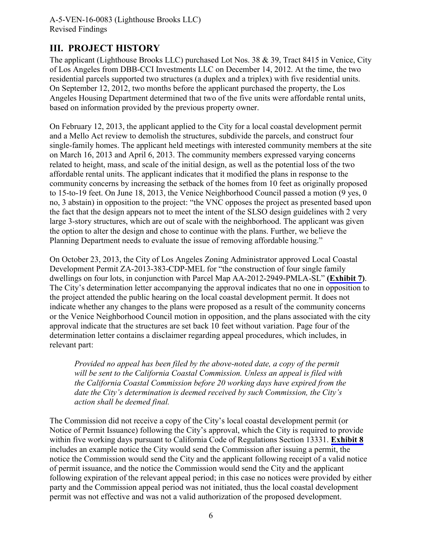# <span id="page-5-0"></span>**III. PROJECT HISTORY**

The applicant (Lighthouse Brooks LLC) purchased Lot Nos. 38 & 39, Tract 8415 in Venice, City of Los Angeles from DBB-CCI Investments LLC on December 14, 2012. At the time, the two residential parcels supported two structures (a duplex and a triplex) with five residential units. On September 12, 2012, two months before the applicant purchased the property, the Los Angeles Housing Department determined that two of the five units were affordable rental units, based on information provided by the previous property owner.

On February 12, 2013, the applicant applied to the City for a local coastal development permit and a Mello Act review to demolish the structures, subdivide the parcels, and construct four single-family homes. The applicant held meetings with interested community members at the site on March 16, 2013 and April 6, 2013. The community members expressed varying concerns related to height, mass, and scale of the initial design, as well as the potential loss of the two affordable rental units. The applicant indicates that it modified the plans in response to the community concerns by increasing the setback of the homes from 10 feet as originally proposed to 15-to-19 feet. On June 18, 2013, the Venice Neighborhood Council passed a motion (9 yes, 0 no, 3 abstain) in opposition to the project: "the VNC opposes the project as presented based upon the fact that the design appears not to meet the intent of the SLSO design guidelines with 2 very large 3-story structures, which are out of scale with the neighborhood. The applicant was given the option to alter the design and chose to continue with the plans. Further, we believe the Planning Department needs to evaluate the issue of removing affordable housing."

On October 23, 2013, the City of Los Angeles Zoning Administrator approved Local Coastal Development Permit ZA-2013-383-CDP-MEL for "the construction of four single family dwellings on four lots, in conjunction with Parcel Map AA-2012-2949-PMLA-SL" **[\(Exhibit 7](https://documents.coastal.ca.gov/reports/2017/5/F17a/F17a-5-2017-exhibits.pdf))**. The City's determination letter accompanying the approval indicates that no one in opposition to the project attended the public hearing on the local coastal development permit. It does not indicate whether any changes to the plans were proposed as a result of the community concerns or the Venice Neighborhood Council motion in opposition, and the plans associated with the city approval indicate that the structures are set back 10 feet without variation. Page four of the determination letter contains a disclaimer regarding appeal procedures, which includes, in relevant part:

*Provided no appeal has been filed by the above-noted date, a copy of the permit will be sent to the California Coastal Commission. Unless an appeal is filed with the California Coastal Commission before 20 working days have expired from the date the City's determination is deemed received by such Commission, the City's action shall be deemed final.* 

The Commission did not receive a copy of the City's local coastal development permit (or Notice of Permit Issuance) following the City's approval, which the City is required to provide within five working days pursuant to California Code of Regulations Section 13331. **[Exhibit 8](https://documents.coastal.ca.gov/reports/2017/5/F17a/F17a-5-2017-exhibits.pdf)** includes an example notice the City would send the Commission after issuing a permit, the notice the Commission would send the City and the applicant following receipt of a valid notice of permit issuance, and the notice the Commission would send the City and the applicant following expiration of the relevant appeal period; in this case no notices were provided by either party and the Commission appeal period was not initiated, thus the local coastal development permit was not effective and was not a valid authorization of the proposed development.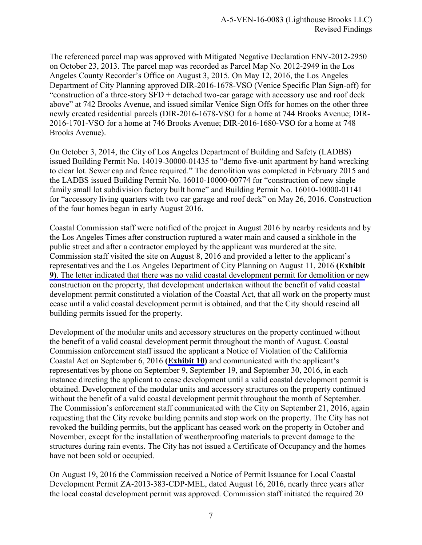The referenced parcel map was approved with Mitigated Negative Declaration ENV-2012-2950 on October 23, 2013. The parcel map was recorded as Parcel Map No. 2012-2949 in the Los Angeles County Recorder's Office on August 3, 2015. On May 12, 2016, the Los Angeles Department of City Planning approved DIR-2016-1678-VSO (Venice Specific Plan Sign-off) for "construction of a three-story SFD + detached two-car garage with accessory use and roof deck above" at 742 Brooks Avenue, and issued similar Venice Sign Offs for homes on the other three newly created residential parcels (DIR-2016-1678-VSO for a home at 744 Brooks Avenue; DIR-2016-1701-VSO for a home at 746 Brooks Avenue; DIR-2016-1680-VSO for a home at 748 Brooks Avenue).

On October 3, 2014, the City of Los Angeles Department of Building and Safety (LADBS) issued Building Permit No. 14019-30000-01435 to "demo five-unit apartment by hand wrecking to clear lot. Sewer cap and fence required." The demolition was completed in February 2015 and the LADBS issued Building Permit No. 16010-10000-00774 for "construction of new single family small lot subdivision factory built home" and Building Permit No. 16010-10000-01141 for "accessory living quarters with two car garage and roof deck" on May 26, 2016. Construction of the four homes began in early August 2016.

Coastal Commission staff were notified of the project in August 2016 by nearby residents and by the Los Angeles Times after construction ruptured a water main and caused a sinkhole in the public street and after a contractor employed by the applicant was murdered at the site. Commission staff visited the site on August 8, 2016 and provided a letter to the applicant's representatives and the Los Angeles Department of City Planning on August 11, 2016 **(Exhibit 9)**[. The letter indicated that there was no valid coastal development permit for demolition or new](https://documents.coastal.ca.gov/reports/2017/5/F17a/F17a-5-2017-exhibits.pdf) construction on the property, that development undertaken without the benefit of valid coastal development permit constituted a violation of the Coastal Act, that all work on the property must cease until a valid coastal development permit is obtained, and that the City should rescind all building permits issued for the property.

Development of the modular units and accessory structures on the property continued without the benefit of a valid coastal development permit throughout the month of August. Coastal Commission enforcement staff issued the applicant a Notice of Violation of the California Coastal Act on September 6, 2016 **([Exhibit 10\)](https://documents.coastal.ca.gov/reports/2017/5/F17a/F17a-5-2017-exhibits.pdf)** and communicated with the applicant's representatives by phone on September 9, September 19, and September 30, 2016, in each instance directing the applicant to cease development until a valid coastal development permit is obtained. Development of the modular units and accessory structures on the property continued without the benefit of a valid coastal development permit throughout the month of September. The Commission's enforcement staff communicated with the City on September 21, 2016, again requesting that the City revoke building permits and stop work on the property. The City has not revoked the building permits, but the applicant has ceased work on the property in October and November, except for the installation of weatherproofing materials to prevent damage to the structures during rain events. The City has not issued a Certificate of Occupancy and the homes have not been sold or occupied.

On August 19, 2016 the Commission received a Notice of Permit Issuance for Local Coastal Development Permit ZA-2013-383-CDP-MEL, dated August 16, 2016, nearly three years after the local coastal development permit was approved. Commission staff initiated the required 20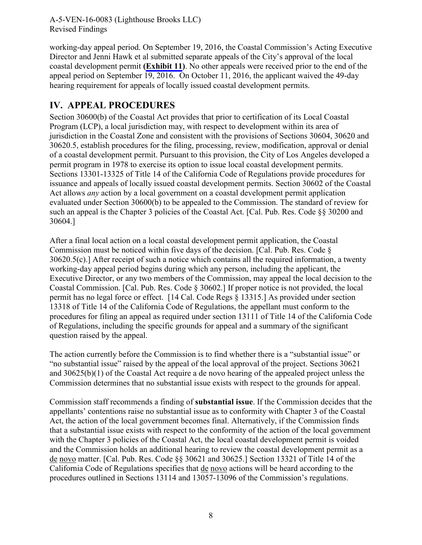<span id="page-7-0"></span>working-day appeal period. On September 19, 2016, the Coastal Commission's Acting Executive Director and Jenni Hawk et al submitted separate appeals of the City's approval of the local coastal development permit **([Exhibit 11\)](https://documents.coastal.ca.gov/reports/2017/5/F17a/F17a-5-2017-exhibits.pdf)**. No other appeals were received prior to the end of the appeal period on September 19, 2016. On October 11, 2016, the applicant waived the 49-day hearing requirement for appeals of locally issued coastal development permits.

# **IV. APPEAL PROCEDURES**

Section 30600(b) of the Coastal Act provides that prior to certification of its Local Coastal Program (LCP), a local jurisdiction may, with respect to development within its area of jurisdiction in the Coastal Zone and consistent with the provisions of Sections 30604, 30620 and 30620.5, establish procedures for the filing, processing, review, modification, approval or denial of a coastal development permit. Pursuant to this provision, the City of Los Angeles developed a permit program in 1978 to exercise its option to issue local coastal development permits. Sections 13301-13325 of Title 14 of the California Code of Regulations provide procedures for issuance and appeals of locally issued coastal development permits. Section 30602 of the Coastal Act allows *any* action by a local government on a coastal development permit application evaluated under Section 30600(b) to be appealed to the Commission. The standard of review for such an appeal is the Chapter 3 policies of the Coastal Act. [Cal. Pub. Res. Code §§ 30200 and 30604.]

After a final local action on a local coastal development permit application, the Coastal Commission must be noticed within five days of the decision. [Cal. Pub. Res. Code § 30620.5(c).] After receipt of such a notice which contains all the required information, a twenty working-day appeal period begins during which any person, including the applicant, the Executive Director, or any two members of the Commission, may appeal the local decision to the Coastal Commission. [Cal. Pub. Res. Code § 30602.] If proper notice is not provided, the local permit has no legal force or effect. [14 Cal. Code Regs § 13315.] As provided under section 13318 of Title 14 of the California Code of Regulations, the appellant must conform to the procedures for filing an appeal as required under section 13111 of Title 14 of the California Code of Regulations, including the specific grounds for appeal and a summary of the significant question raised by the appeal.

The action currently before the Commission is to find whether there is a "substantial issue" or "no substantial issue" raised by the appeal of the local approval of the project. Sections 30621 and 30625(b)(1) of the Coastal Act require a de novo hearing of the appealed project unless the Commission determines that no substantial issue exists with respect to the grounds for appeal.

Commission staff recommends a finding of **substantial issue**. If the Commission decides that the appellants' contentions raise no substantial issue as to conformity with Chapter 3 of the Coastal Act, the action of the local government becomes final. Alternatively, if the Commission finds that a substantial issue exists with respect to the conformity of the action of the local government with the Chapter 3 policies of the Coastal Act, the local coastal development permit is voided and the Commission holds an additional hearing to review the coastal development permit as a de novo matter. [Cal. Pub. Res. Code §§ 30621 and 30625.] Section 13321 of Title 14 of the California Code of Regulations specifies that de novo actions will be heard according to the procedures outlined in Sections 13114 and 13057-13096 of the Commission's regulations.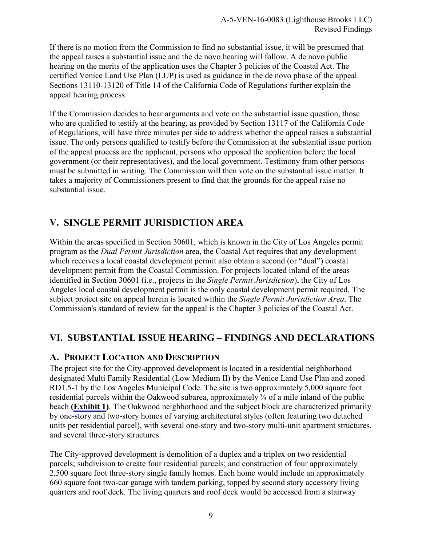<span id="page-8-0"></span>If there is no motion from the Commission to find no substantial issue, it will be presumed that the appeal raises a substantial issue and the de novo hearing will follow. A de novo public hearing on the merits of the application uses the Chapter 3 policies of the Coastal Act. The certified Venice Land Use Plan (LUP) is used as guidance in the de novo phase of the appeal. Sections 13110-13120 of Title 14 of the California Code of Regulations further explain the appeal hearing process.

If the Commission decides to hear arguments and vote on the substantial issue question, those who are qualified to testify at the hearing, as provided by Section 13117 of the California Code of Regulations, will have three minutes per side to address whether the appeal raises a substantial issue. The only persons qualified to testify before the Commission at the substantial issue portion of the appeal process are the applicant, persons who opposed the application before the local government (or their representatives), and the local government. Testimony from other persons must be submitted in writing. The Commission will then vote on the substantial issue matter. It takes a majority of Commissioners present to find that the grounds for the appeal raise no substantial issue.

# **V. SINGLE PERMIT JURISDICTION AREA**

Within the areas specified in Section 30601, which is known in the City of Los Angeles permit program as the *Dual Permit Jurisdiction* area, the Coastal Act requires that any development which receives a local coastal development permit also obtain a second (or "dual") coastal development permit from the Coastal Commission. For projects located inland of the areas identified in Section 30601 (i.e., projects in the *Single Permit Jurisdiction*), the City of Los Angeles local coastal development permit is the only coastal development permit required. The subject project site on appeal herein is located within the *Single Permit Jurisdiction Area*. The Commission's standard of review for the appeal is the Chapter 3 policies of the Coastal Act.

# **VI. SUBSTANTIAL ISSUE HEARING – FINDINGS AND DECLARATIONS**

## **A. PROJECT LOCATION AND DESCRIPTION**

The project site for the City-approved development is located in a residential neighborhood designated Multi Family Residential (Low Medium II) by the Venice Land Use Plan and zoned RD1.5-1 by the Los Angeles Municipal Code. The site is two approximately 5,000 square foot residential parcels within the Oakwood subarea, approximately <sup>3</sup>/4 of a mile inland of the public beach **([Exhibit 1\)](https://documents.coastal.ca.gov/reports/2017/5/F17a/F17a-5-2017-exhibits.pdf)**. The Oakwood neighborhood and the subject block are characterized primarily by one-story and two-story homes of varying architectural styles (often featuring two detached units per residential parcel), with several one-story and two-story multi-unit apartment structures, and several three-story structures.

The City-approved development is demolition of a duplex and a triplex on two residential parcels; subdivision to create four residential parcels; and construction of four approximately 2,500 square foot three-story single family homes. Each home would include an approximately 660 square foot two-car garage with tandem parking, topped by second story accessory living quarters and roof deck. The living quarters and roof deck would be accessed from a stairway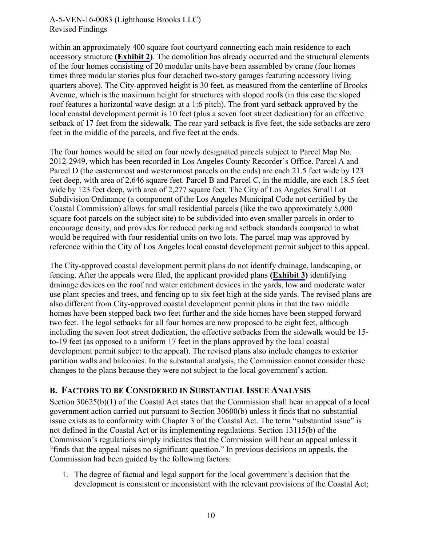within an approximately 400 square foot courtyard connecting each main residence to each accessory structure **([Exhibit 2\)](https://documents.coastal.ca.gov/reports/2017/5/F17a/F17a-5-2017-exhibits.pdf)**. The demolition has already occurred and the structural elements of the four homes consisting of 20 modular units have been assembled by crane (four homes times three modular stories plus four detached two-story garages featuring accessory living quarters above). The City-approved height is 30 feet, as measured from the centerline of Brooks Avenue, which is the maximum height for structures with sloped roofs (in this case the sloped roof features a horizontal wave design at a 1:6 pitch). The front yard setback approved by the local coastal development permit is 10 feet (plus a seven foot street dedication) for an effective setback of 17 feet from the sidewalk. The rear yard setback is five feet, the side setbacks are zero feet in the middle of the parcels, and five feet at the ends.

The four homes would be sited on four newly designated parcels subject to Parcel Map No. 2012-2949, which has been recorded in Los Angeles County Recorder's Office. Parcel A and Parcel D (the easternmost and westernmost parcels on the ends) are each 21.5 feet wide by 123 feet deep, with area of 2,646 square feet. Parcel B and Parcel C, in the middle, are each 18.5 feet wide by 123 feet deep, with area of 2,277 square feet. The City of Los Angeles Small Lot Subdivision Ordinance (a component of the Los Angeles Municipal Code not certified by the Coastal Commission) allows for small residential parcels (like the two approximately 5,000 square foot parcels on the subject site) to be subdivided into even smaller parcels in order to encourage density, and provides for reduced parking and setback standards compared to what would be required with four residential units on two lots. The parcel map was approved by reference within the City of Los Angeles local coastal development permit subject to this appeal.

The City-approved coastal development permit plans do not identify drainage, landscaping, or fencing. After the appeals were filed, the applicant provided plans **([Exhibit 3\)](https://documents.coastal.ca.gov/reports/2017/5/F17a/F17a-5-2017-exhibits.pdf)** identifying drainage devices on the roof and water catchment devices in the yards, low and moderate water use plant species and trees, and fencing up to six feet high at the side yards. The revised plans are also different from City-approved coastal development permit plans in that the two middle homes have been stepped back two feet further and the side homes have been stepped forward two feet. The legal setbacks for all four homes are now proposed to be eight feet, although including the seven foot street dedication, the effective setbacks from the sidewalk would be 15 to-19 feet (as opposed to a uniform 17 feet in the plans approved by the local coastal development permit subject to the appeal). The revised plans also include changes to exterior partition walls and balconies. In the substantial analysis, the Commission cannot consider these changes to the plans because they were not subject to the local government's action.

## **B. FACTORS TO BE CONSIDERED IN SUBSTANTIAL ISSUE ANALYSIS**

Section 30625(b)(1) of the Coastal Act states that the Commission shall hear an appeal of a local government action carried out pursuant to Section 30600(b) unless it finds that no substantial issue exists as to conformity with Chapter 3 of the Coastal Act. The term "substantial issue" is not defined in the Coastal Act or its implementing regulations. Section 13115(b) of the Commission's regulations simply indicates that the Commission will hear an appeal unless it "finds that the appeal raises no significant question." In previous decisions on appeals, the Commission had been guided by the following factors:

1. The degree of factual and legal support for the local government's decision that the development is consistent or inconsistent with the relevant provisions of the Coastal Act;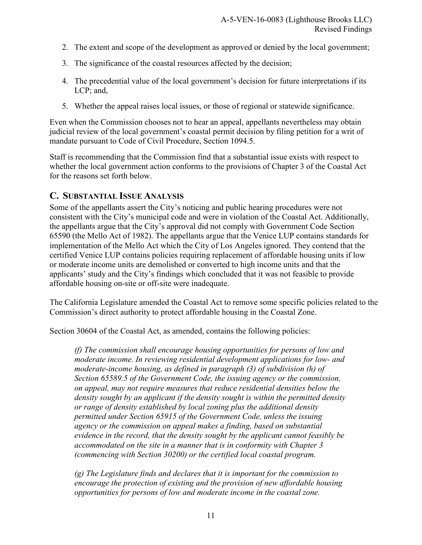- <span id="page-10-0"></span>2. The extent and scope of the development as approved or denied by the local government;
- 3. The significance of the coastal resources affected by the decision;
- 4. The precedential value of the local government's decision for future interpretations if its LCP; and,
- 5. Whether the appeal raises local issues, or those of regional or statewide significance.

Even when the Commission chooses not to hear an appeal, appellants nevertheless may obtain judicial review of the local government's coastal permit decision by filing petition for a writ of mandate pursuant to Code of Civil Procedure, Section 1094.5.

Staff is recommending that the Commission find that a substantial issue exists with respect to whether the local government action conforms to the provisions of Chapter 3 of the Coastal Act for the reasons set forth below.

## **C. SUBSTANTIAL ISSUE ANALYSIS**

Some of the appellants assert the City's noticing and public hearing procedures were not consistent with the City's municipal code and were in violation of the Coastal Act. Additionally, the appellants argue that the City's approval did not comply with Government Code Section 65590 (the Mello Act of 1982). The appellants argue that the Venice LUP contains standards for implementation of the Mello Act which the City of Los Angeles ignored. They contend that the certified Venice LUP contains policies requiring replacement of affordable housing units if low or moderate income units are demolished or converted to high income units and that the applicants' study and the City's findings which concluded that it was not feasible to provide affordable housing on-site or off-site were inadequate.

The California Legislature amended the Coastal Act to remove some specific policies related to the Commission's direct authority to protect affordable housing in the Coastal Zone.

Section 30604 of the Coastal Act, as amended, contains the following policies:

*(f) The commission shall encourage housing opportunities for persons of low and moderate income. In reviewing residential development applications for low- and moderate-income housing, as defined in paragraph (3) of subdivision (h) of Section 65589.5 of the Government Code, the issuing agency or the commission, on appeal, may not require measures that reduce residential densities below the density sought by an applicant if the density sought is within the permitted density or range of density established by local zoning plus the additional density permitted under Section 65915 of the Government Code, unless the issuing agency or the commission on appeal makes a finding, based on substantial evidence in the record, that the density sought by the applicant cannot feasibly be accommodated on the site in a manner that is in conformity with Chapter 3 (commencing with Section 30200) or the certified local coastal program.* 

*(g) The Legislature finds and declares that it is important for the commission to encourage the protection of existing and the provision of new affordable housing opportunities for persons of low and moderate income in the coastal zone.*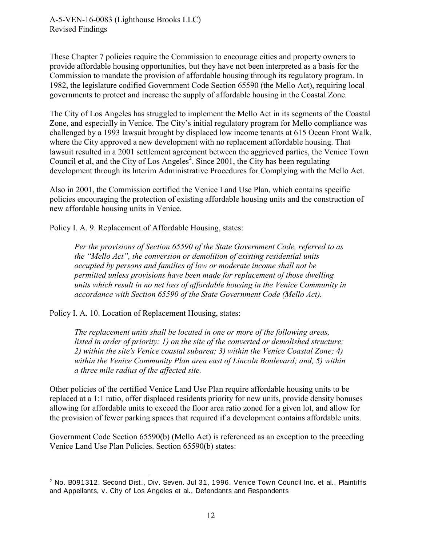These Chapter 7 policies require the Commission to encourage cities and property owners to provide affordable housing opportunities, but they have not been interpreted as a basis for the Commission to mandate the provision of affordable housing through its regulatory program. In 1982, the legislature codified Government Code Section 65590 (the Mello Act), requiring local governments to protect and increase the supply of affordable housing in the Coastal Zone.

The City of Los Angeles has struggled to implement the Mello Act in its segments of the Coastal Zone, and especially in Venice. The City's initial regulatory program for Mello compliance was challenged by a 1993 lawsuit brought by displaced low income tenants at 615 Ocean Front Walk, where the City approved a new development with no replacement affordable housing. That lawsuit resulted in a 2001 settlement agreement between the aggrieved parties, the Venice Town Council et al, and the City of Los Angeles<sup>2</sup>. Since 2001, the City has been regulating development through its Interim Administrative Procedures for Complying with the Mello Act.

Also in 2001, the Commission certified the Venice Land Use Plan, which contains specific policies encouraging the protection of existing affordable housing units and the construction of new affordable housing units in Venice.

Policy I. A. 9. Replacement of Affordable Housing, states:

*Per the provisions of Section 65590 of the State Government Code, referred to as the "Mello Act", the conversion or demolition of existing residential units occupied by persons and families of low or moderate income shall not be permitted unless provisions have been made for replacement of those dwelling units which result in no net loss of affordable housing in the Venice Community in accordance with Section 65590 of the State Government Code (Mello Act).* 

Policy I. A. 10. Location of Replacement Housing, states:

*The replacement units shall be located in one or more of the following areas, listed in order of priority: 1) on the site of the converted or demolished structure; 2) within the site's Venice coastal subarea; 3) within the Venice Coastal Zone; 4) within the Venice Community Plan area east of Lincoln Boulevard; and, 5) within a three mile radius of the affected site.* 

Other policies of the certified Venice Land Use Plan require affordable housing units to be replaced at a 1:1 ratio, offer displaced residents priority for new units, provide density bonuses allowing for affordable units to exceed the floor area ratio zoned for a given lot, and allow for the provision of fewer parking spaces that required if a development contains affordable units.

Government Code Section 65590(b) (Mello Act) is referenced as an exception to the preceding Venice Land Use Plan Policies. Section 65590(b) states:

 2 No. B091312. Second Dist., Div. Seven. Jul 31, 1996. Venice Town Council Inc. et al., Plaintiffs and Appellants, v. City of Los Angeles et al., Defendants and Respondents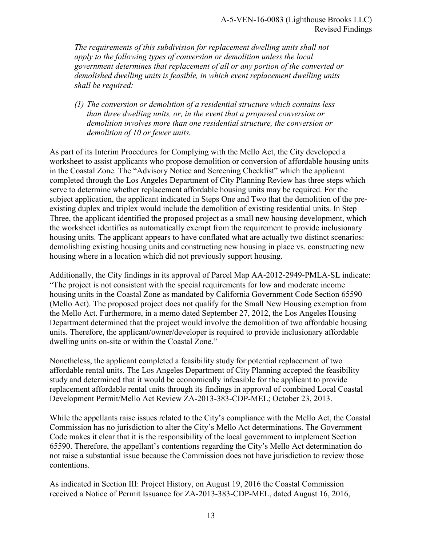*The requirements of this subdivision for replacement dwelling units shall not apply to the following types of conversion or demolition unless the local government determines that replacement of all or any portion of the converted or demolished dwelling units is feasible, in which event replacement dwelling units shall be required:* 

*(1) The conversion or demolition of a residential structure which contains less than three dwelling units, or, in the event that a proposed conversion or demolition involves more than one residential structure, the conversion or demolition of 10 or fewer units.* 

As part of its Interim Procedures for Complying with the Mello Act, the City developed a worksheet to assist applicants who propose demolition or conversion of affordable housing units in the Coastal Zone. The "Advisory Notice and Screening Checklist" which the applicant completed through the Los Angeles Department of City Planning Review has three steps which serve to determine whether replacement affordable housing units may be required. For the subject application, the applicant indicated in Steps One and Two that the demolition of the preexisting duplex and triplex would include the demolition of existing residential units. In Step Three, the applicant identified the proposed project as a small new housing development, which the worksheet identifies as automatically exempt from the requirement to provide inclusionary housing units. The applicant appears to have conflated what are actually two distinct scenarios: demolishing existing housing units and constructing new housing in place vs. constructing new housing where in a location which did not previously support housing.

Additionally, the City findings in its approval of Parcel Map AA-2012-2949-PMLA-SL indicate: "The project is not consistent with the special requirements for low and moderate income housing units in the Coastal Zone as mandated by California Government Code Section 65590 (Mello Act). The proposed project does not qualify for the Small New Housing exemption from the Mello Act. Furthermore, in a memo dated September 27, 2012, the Los Angeles Housing Department determined that the project would involve the demolition of two affordable housing units. Therefore, the applicant/owner/developer is required to provide inclusionary affordable dwelling units on-site or within the Coastal Zone."

Nonetheless, the applicant completed a feasibility study for potential replacement of two affordable rental units. The Los Angeles Department of City Planning accepted the feasibility study and determined that it would be economically infeasible for the applicant to provide replacement affordable rental units through its findings in approval of combined Local Coastal Development Permit/Mello Act Review ZA-2013-383-CDP-MEL; October 23, 2013.

While the appellants raise issues related to the City's compliance with the Mello Act, the Coastal Commission has no jurisdiction to alter the City's Mello Act determinations. The Government Code makes it clear that it is the responsibility of the local government to implement Section 65590. Therefore, the appellant's contentions regarding the City's Mello Act determination do not raise a substantial issue because the Commission does not have jurisdiction to review those contentions.

As indicated in Section III: Project History, on August 19, 2016 the Coastal Commission received a Notice of Permit Issuance for ZA-2013-383-CDP-MEL, dated August 16, 2016,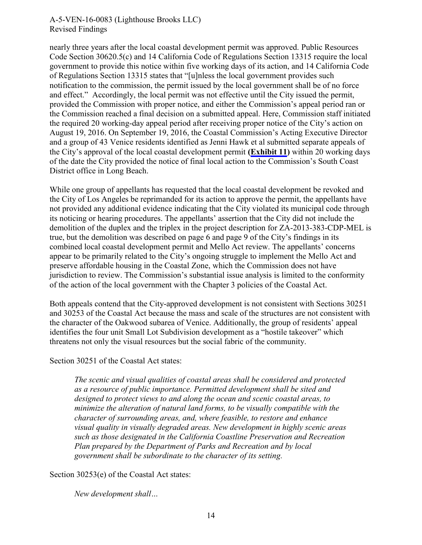nearly three years after the local coastal development permit was approved. Public Resources Code Section 30620.5(c) and 14 California Code of Regulations Section 13315 require the local government to provide this notice within five working days of its action, and 14 California Code of Regulations Section 13315 states that "[u]nless the local government provides such notification to the commission, the permit issued by the local government shall be of no force and effect." Accordingly, the local permit was not effective until the City issued the permit, provided the Commission with proper notice, and either the Commission's appeal period ran or the Commission reached a final decision on a submitted appeal. Here, Commission staff initiated the required 20 working-day appeal period after receiving proper notice of the City's action on August 19, 2016. On September 19, 2016, the Coastal Commission's Acting Executive Director and a group of 43 Venice residents identified as Jenni Hawk et al submitted separate appeals of the City's approval of the local coastal development permit **([Exhibit 11\)](https://documents.coastal.ca.gov/reports/2017/5/F17a/F17a-5-2017-exhibits.pdf)** within 20 working days of the date the City provided the notice of final local action to the Commission's South Coast District office in Long Beach.

While one group of appellants has requested that the local coastal development be revoked and the City of Los Angeles be reprimanded for its action to approve the permit, the appellants have not provided any additional evidence indicating that the City violated its municipal code through its noticing or hearing procedures. The appellants' assertion that the City did not include the demolition of the duplex and the triplex in the project description for ZA-2013-383-CDP-MEL is true, but the demolition was described on page 6 and page 9 of the City's findings in its combined local coastal development permit and Mello Act review. The appellants' concerns appear to be primarily related to the City's ongoing struggle to implement the Mello Act and preserve affordable housing in the Coastal Zone, which the Commission does not have jurisdiction to review. The Commission's substantial issue analysis is limited to the conformity of the action of the local government with the Chapter 3 policies of the Coastal Act.

Both appeals contend that the City-approved development is not consistent with Sections 30251 and 30253 of the Coastal Act because the mass and scale of the structures are not consistent with the character of the Oakwood subarea of Venice. Additionally, the group of residents' appeal identifies the four unit Small Lot Subdivision development as a "hostile takeover" which threatens not only the visual resources but the social fabric of the community.

Section 30251 of the Coastal Act states:

*The scenic and visual qualities of coastal areas shall be considered and protected as a resource of public importance. Permitted development shall be sited and designed to protect views to and along the ocean and scenic coastal areas, to minimize the alteration of natural land forms, to be visually compatible with the character of surrounding areas, and, where feasible, to restore and enhance visual quality in visually degraded areas. New development in highly scenic areas such as those designated in the California Coastline Preservation and Recreation Plan prepared by the Department of Parks and Recreation and by local government shall be subordinate to the character of its setting.*

Section 30253(e) of the Coastal Act states:

*New development shall…*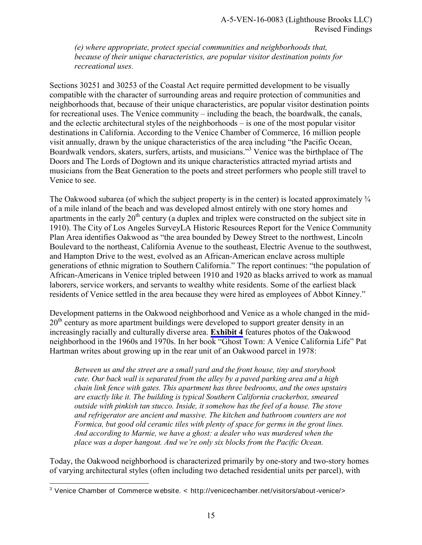*(e) where appropriate, protect special communities and neighborhoods that, because of their unique characteristics, are popular visitor destination points for recreational uses.* 

Sections 30251 and 30253 of the Coastal Act require permitted development to be visually compatible with the character of surrounding areas and require protection of communities and neighborhoods that, because of their unique characteristics, are popular visitor destination points for recreational uses. The Venice community – including the beach, the boardwalk, the canals, and the eclectic architectural styles of the neighborhoods – is one of the most popular visitor destinations in California. According to the Venice Chamber of Commerce, 16 million people visit annually, drawn by the unique characteristics of the area including "the Pacific Ocean, Boardwalk vendors, skaters, surfers, artists, and musicians."<sup>3</sup> Venice was the birthplace of The Doors and The Lords of Dogtown and its unique characteristics attracted myriad artists and musicians from the Beat Generation to the poets and street performers who people still travel to Venice to see.

The Oakwood subarea (of which the subject property is in the center) is located approximately  $\frac{3}{4}$ of a mile inland of the beach and was developed almost entirely with one story homes and apartments in the early  $20<sup>th</sup>$  century (a duplex and triplex were constructed on the subject site in 1910). The City of Los Angeles SurveyLA Historic Resources Report for the Venice Community Plan Area identifies Oakwood as "the area bounded by Dewey Street to the northwest, Lincoln Boulevard to the northeast, California Avenue to the southeast, Electric Avenue to the southwest, and Hampton Drive to the west, evolved as an African-American enclave across multiple generations of ethnic migration to Southern California." The report continues: "the population of African-Americans in Venice tripled between 1910 and 1920 as blacks arrived to work as manual laborers, service workers, and servants to wealthy white residents. Some of the earliest black residents of Venice settled in the area because they were hired as employees of Abbot Kinney."

Development patterns in the Oakwood neighborhood and Venice as a whole changed in the mid- $20<sup>th</sup>$  century as more apartment buildings were developed to support greater density in an increasingly racially and culturally diverse area. **[Exhibit 4](https://documents.coastal.ca.gov/reports/2017/5/F17a/F17a-5-2017-exhibits.pdf)** features photos of the Oakwood neighborhood in the 1960s and 1970s. In her book "Ghost Town: A Venice California Life" Pat Hartman writes about growing up in the rear unit of an Oakwood parcel in 1978:

*Between us and the street are a small yard and the front house, tiny and storybook cute. Our back wall is separated from the alley by a paved parking area and a high chain link fence with gates. This apartment has three bedrooms, and the ones upstairs are exactly like it. The building is typical Southern California crackerbox, smeared outside with pinkish tan stucco. Inside, it somehow has the feel of a house. The stove and refrigerator are ancient and massive. The kitchen and bathroom counters are not Formica, but good old ceramic tiles with plenty of space for germs in the grout lines. And according to Marnie, we have a ghost: a dealer who was murdered when the place was a doper hangout. And we're only six blocks from the Pacific Ocean.*

Today, the Oakwood neighborhood is characterized primarily by one-story and two-story homes of varying architectural styles (often including two detached residential units per parcel), with

 $\overline{a}$ 3 Venice Chamber of Commerce w ebsite. < http://venicechamber.net/visitors/about -venice/>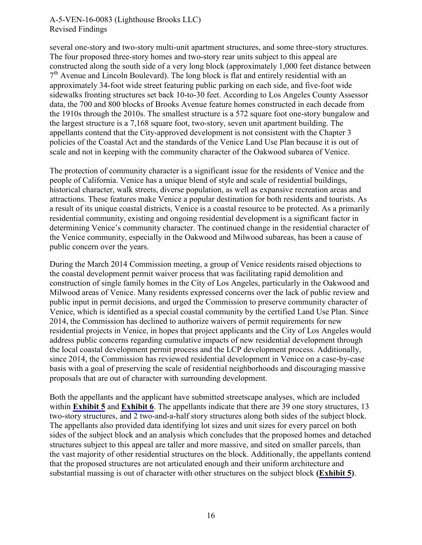several one-story and two-story multi-unit apartment structures, and some three-story structures. The four proposed three-story homes and two-story rear units subject to this appeal are constructed along the south side of a very long block (approximately 1,000 feet distance between 7<sup>th</sup> Avenue and Lincoln Boulevard). The long block is flat and entirely residential with an approximately 34-foot wide street featuring public parking on each side, and five-foot wide sidewalks fronting structures set back 10-to-30 feet. According to Los Angeles County Assessor data, the 700 and 800 blocks of Brooks Avenue feature homes constructed in each decade from the 1910s through the 2010s. The smallest structure is a 572 square foot one-story bungalow and the largest structure is a 7,168 square foot, two-story, seven unit apartment building. The appellants contend that the City-approved development is not consistent with the Chapter 3 policies of the Coastal Act and the standards of the Venice Land Use Plan because it is out of scale and not in keeping with the community character of the Oakwood subarea of Venice.

The protection of community character is a significant issue for the residents of Venice and the people of California. Venice has a unique blend of style and scale of residential buildings, historical character, walk streets, diverse population, as well as expansive recreation areas and attractions. These features make Venice a popular destination for both residents and tourists. As a result of its unique coastal districts, Venice is a coastal resource to be protected. As a primarily residential community, existing and ongoing residential development is a significant factor in determining Venice's community character. The continued change in the residential character of the Venice community, especially in the Oakwood and Milwood subareas, has been a cause of public concern over the years.

During the March 2014 Commission meeting, a group of Venice residents raised objections to the coastal development permit waiver process that was facilitating rapid demolition and construction of single family homes in the City of Los Angeles, particularly in the Oakwood and Milwood areas of Venice. Many residents expressed concerns over the lack of public review and public input in permit decisions, and urged the Commission to preserve community character of Venice, which is identified as a special coastal community by the certified Land Use Plan. Since 2014, the Commission has declined to authorize waivers of permit requirements for new residential projects in Venice, in hopes that project applicants and the City of Los Angeles would address public concerns regarding cumulative impacts of new residential development through the local coastal development permit process and the LCP development process. Additionally, since 2014, the Commission has reviewed residential development in Venice on a case-by-case basis with a goal of preserving the scale of residential neighborhoods and discouraging massive proposals that are out of character with surrounding development.

Both the appellants and the applicant have submitted streetscape analyses, which are included within **[Exhibit 5](https://documents.coastal.ca.gov/reports/2017/5/F17a/F17a-5-2017-exhibits.pdf)** and **[Exhibit 6](https://documents.coastal.ca.gov/reports/2017/5/F17a/F17a-5-2017-exhibits.pdf)**. The appellants indicate that there are 39 one story structures, 13 two-story structures, and 2 two-and-a-half story structures along both sides of the subject block. The appellants also provided data identifying lot sizes and unit sizes for every parcel on both sides of the subject block and an analysis which concludes that the proposed homes and detached structures subject to this appeal are taller and more massive, and sited on smaller parcels, than the vast majority of other residential structures on the block. Additionally, the appellants contend that the proposed structures are not articulated enough and their uniform architecture and substantial massing is out of character with other structures on the subject block **([Exhibit 5](https://documents.coastal.ca.gov/reports/2017/5/F17a/F17a-5-2017-exhibits.pdf))**.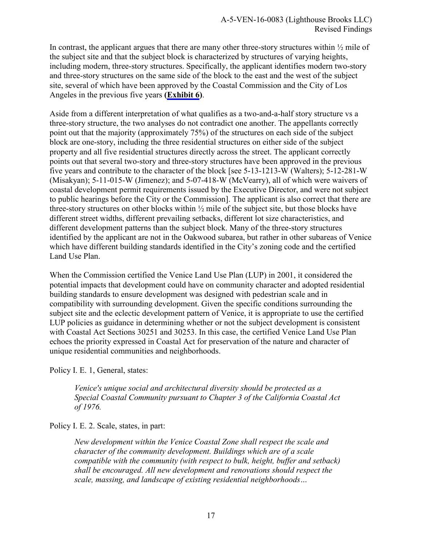In contrast, the applicant argues that there are many other three-story structures within ½ mile of the subject site and that the subject block is characterized by structures of varying heights, including modern, three-story structures. Specifically, the applicant identifies modern two-story and three-story structures on the same side of the block to the east and the west of the subject site, several of which have been approved by the Coastal Commission and the City of Los Angeles in the previous five years **[\(Exhibit 6\)](https://documents.coastal.ca.gov/reports/2017/5/F17a/F17a-5-2017-exhibits.pdf)**.

Aside from a different interpretation of what qualifies as a two-and-a-half story structure vs a three-story structure, the two analyses do not contradict one another. The appellants correctly point out that the majority (approximately 75%) of the structures on each side of the subject block are one-story, including the three residential structures on either side of the subject property and all five residential structures directly across the street. The applicant correctly points out that several two-story and three-story structures have been approved in the previous five years and contribute to the character of the block [see 5-13-1213-W (Walters); 5-12-281-W (Misakyan); 5-11-015-W (Jimenez); and 5-07-418-W (McVearry), all of which were waivers of coastal development permit requirements issued by the Executive Director, and were not subject to public hearings before the City or the Commission]. The applicant is also correct that there are three-story structures on other blocks within  $\frac{1}{2}$  mile of the subject site, but those blocks have different street widths, different prevailing setbacks, different lot size characteristics, and different development patterns than the subject block. Many of the three-story structures identified by the applicant are not in the Oakwood subarea, but rather in other subareas of Venice which have different building standards identified in the City's zoning code and the certified Land Use Plan.

When the Commission certified the Venice Land Use Plan (LUP) in 2001, it considered the potential impacts that development could have on community character and adopted residential building standards to ensure development was designed with pedestrian scale and in compatibility with surrounding development. Given the specific conditions surrounding the subject site and the eclectic development pattern of Venice, it is appropriate to use the certified LUP policies as guidance in determining whether or not the subject development is consistent with Coastal Act Sections 30251 and 30253. In this case, the certified Venice Land Use Plan echoes the priority expressed in Coastal Act for preservation of the nature and character of unique residential communities and neighborhoods.

Policy I. E. 1, General, states:

*Venice's unique social and architectural diversity should be protected as a Special Coastal Community pursuant to Chapter 3 of the California Coastal Act of 1976.* 

Policy I. E. 2. Scale, states, in part:

*New development within the Venice Coastal Zone shall respect the scale and character of the community development. Buildings which are of a scale compatible with the community (with respect to bulk, height, buffer and setback) shall be encouraged. All new development and renovations should respect the scale, massing, and landscape of existing residential neighborhoods…*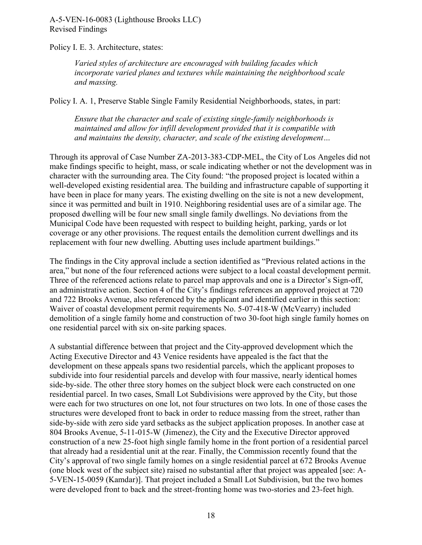Policy I. E. 3. Architecture, states:

*Varied styles of architecture are encouraged with building facades which incorporate varied planes and textures while maintaining the neighborhood scale and massing.* 

Policy I. A. 1, Preserve Stable Single Family Residential Neighborhoods, states, in part:

*Ensure that the character and scale of existing single-family neighborhoods is maintained and allow for infill development provided that it is compatible with and maintains the density, character, and scale of the existing development…* 

Through its approval of Case Number ZA-2013-383-CDP-MEL, the City of Los Angeles did not make findings specific to height, mass, or scale indicating whether or not the development was in character with the surrounding area. The City found: "the proposed project is located within a well-developed existing residential area. The building and infrastructure capable of supporting it have been in place for many years. The existing dwelling on the site is not a new development, since it was permitted and built in 1910. Neighboring residential uses are of a similar age. The proposed dwelling will be four new small single family dwellings. No deviations from the Municipal Code have been requested with respect to building height, parking, yards or lot coverage or any other provisions. The request entails the demolition current dwellings and its replacement with four new dwelling. Abutting uses include apartment buildings."

The findings in the City approval include a section identified as "Previous related actions in the area," but none of the four referenced actions were subject to a local coastal development permit. Three of the referenced actions relate to parcel map approvals and one is a Director's Sign-off, an administrative action. Section 4 of the City's findings references an approved project at 720 and 722 Brooks Avenue, also referenced by the applicant and identified earlier in this section: Waiver of coastal development permit requirements No. 5-07-418-W (McVearry) included demolition of a single family home and construction of two 30-foot high single family homes on one residential parcel with six on-site parking spaces.

A substantial difference between that project and the City-approved development which the Acting Executive Director and 43 Venice residents have appealed is the fact that the development on these appeals spans two residential parcels, which the applicant proposes to subdivide into four residential parcels and develop with four massive, nearly identical homes side-by-side. The other three story homes on the subject block were each constructed on one residential parcel. In two cases, Small Lot Subdivisions were approved by the City, but those were each for two structures on one lot, not four structures on two lots. In one of those cases the structures were developed front to back in order to reduce massing from the street, rather than side-by-side with zero side yard setbacks as the subject application proposes. In another case at 804 Brooks Avenue, 5-11-015-W (Jimenez), the City and the Executive Director approved construction of a new 25-foot high single family home in the front portion of a residential parcel that already had a residential unit at the rear. Finally, the Commission recently found that the City's approval of two single family homes on a single residential parcel at 672 Brooks Avenue (one block west of the subject site) raised no substantial after that project was appealed [see: A-5-VEN-15-0059 (Kamdar)]. That project included a Small Lot Subdivision, but the two homes were developed front to back and the street-fronting home was two-stories and 23-feet high.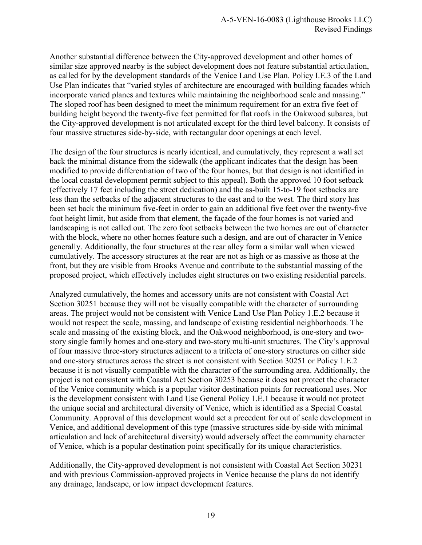Another substantial difference between the City-approved development and other homes of similar size approved nearby is the subject development does not feature substantial articulation, as called for by the development standards of the Venice Land Use Plan. Policy I.E.3 of the Land Use Plan indicates that "varied styles of architecture are encouraged with building facades which incorporate varied planes and textures while maintaining the neighborhood scale and massing." The sloped roof has been designed to meet the minimum requirement for an extra five feet of building height beyond the twenty-five feet permitted for flat roofs in the Oakwood subarea, but the City-approved development is not articulated except for the third level balcony. It consists of four massive structures side-by-side, with rectangular door openings at each level.

The design of the four structures is nearly identical, and cumulatively, they represent a wall set back the minimal distance from the sidewalk (the applicant indicates that the design has been modified to provide differentiation of two of the four homes, but that design is not identified in the local coastal development permit subject to this appeal). Both the approved 10 foot setback (effectively 17 feet including the street dedication) and the as-built 15-to-19 foot setbacks are less than the setbacks of the adjacent structures to the east and to the west. The third story has been set back the minimum five-feet in order to gain an additional five feet over the twenty-five foot height limit, but aside from that element, the façade of the four homes is not varied and landscaping is not called out. The zero foot setbacks between the two homes are out of character with the block, where no other homes feature such a design, and are out of character in Venice generally. Additionally, the four structures at the rear alley form a similar wall when viewed cumulatively. The accessory structures at the rear are not as high or as massive as those at the front, but they are visible from Brooks Avenue and contribute to the substantial massing of the proposed project, which effectively includes eight structures on two existing residential parcels.

Analyzed cumulatively, the homes and accessory units are not consistent with Coastal Act Section 30251 because they will not be visually compatible with the character of surrounding areas. The project would not be consistent with Venice Land Use Plan Policy 1.E.2 because it would not respect the scale, massing, and landscape of existing residential neighborhoods. The scale and massing of the existing block, and the Oakwood neighborhood, is one-story and twostory single family homes and one-story and two-story multi-unit structures. The City's approval of four massive three-story structures adjacent to a trifecta of one-story structures on either side and one-story structures across the street is not consistent with Section 30251 or Policy 1.E.2 because it is not visually compatible with the character of the surrounding area. Additionally, the project is not consistent with Coastal Act Section 30253 because it does not protect the character of the Venice community which is a popular visitor destination points for recreational uses. Nor is the development consistent with Land Use General Policy 1.E.1 because it would not protect the unique social and architectural diversity of Venice, which is identified as a Special Coastal Community. Approval of this development would set a precedent for out of scale development in Venice, and additional development of this type (massive structures side-by-side with minimal articulation and lack of architectural diversity) would adversely affect the community character of Venice, which is a popular destination point specifically for its unique characteristics.

Additionally, the City-approved development is not consistent with Coastal Act Section 30231 and with previous Commission-approved projects in Venice because the plans do not identify any drainage, landscape, or low impact development features.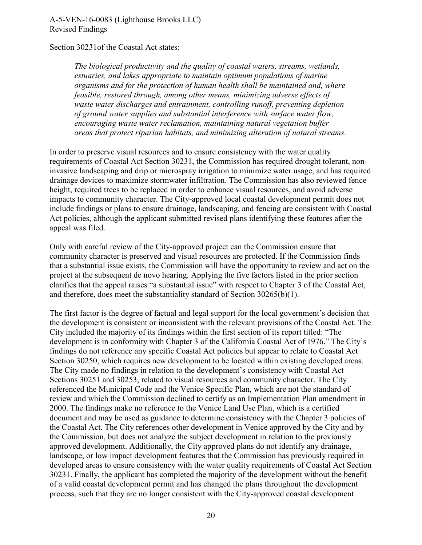Section 30231of the Coastal Act states:

*The biological productivity and the quality of coastal waters, streams, wetlands, estuaries, and lakes appropriate to maintain optimum populations of marine organisms and for the protection of human health shall be maintained and, where feasible, restored through, among other means, minimizing adverse effects of waste water discharges and entrainment, controlling runoff, preventing depletion of ground water supplies and substantial interference with surface water flow, encouraging waste water reclamation, maintaining natural vegetation buffer areas that protect riparian habitats, and minimizing alteration of natural streams.*

In order to preserve visual resources and to ensure consistency with the water quality requirements of Coastal Act Section 30231, the Commission has required drought tolerant, noninvasive landscaping and drip or microspray irrigation to minimize water usage, and has required drainage devices to maximize stormwater infiltration. The Commission has also reviewed fence height, required trees to be replaced in order to enhance visual resources, and avoid adverse impacts to community character. The City-approved local coastal development permit does not include findings or plans to ensure drainage, landscaping, and fencing are consistent with Coastal Act policies, although the applicant submitted revised plans identifying these features after the appeal was filed.

Only with careful review of the City-approved project can the Commission ensure that community character is preserved and visual resources are protected. If the Commission finds that a substantial issue exists, the Commission will have the opportunity to review and act on the project at the subsequent de novo hearing. Applying the five factors listed in the prior section clarifies that the appeal raises "a substantial issue" with respect to Chapter 3 of the Coastal Act, and therefore, does meet the substantiality standard of Section 30265(b)(1).

The first factor is the degree of factual and legal support for the local government's decision that the development is consistent or inconsistent with the relevant provisions of the Coastal Act. The City included the majority of its findings within the first section of its report titled: "The development is in conformity with Chapter 3 of the California Coastal Act of 1976." The City's findings do not reference any specific Coastal Act policies but appear to relate to Coastal Act Section 30250, which requires new development to be located within existing developed areas. The City made no findings in relation to the development's consistency with Coastal Act Sections 30251 and 30253, related to visual resources and community character. The City referenced the Municipal Code and the Venice Specific Plan, which are not the standard of review and which the Commission declined to certify as an Implementation Plan amendment in 2000. The findings make no reference to the Venice Land Use Plan, which is a certified document and may be used as guidance to determine consistency with the Chapter 3 policies of the Coastal Act. The City references other development in Venice approved by the City and by the Commission, but does not analyze the subject development in relation to the previously approved development. Additionally, the City approved plans do not identify any drainage, landscape, or low impact development features that the Commission has previously required in developed areas to ensure consistency with the water quality requirements of Coastal Act Section 30231. Finally, the applicant has completed the majority of the development without the benefit of a valid coastal development permit and has changed the plans throughout the development process, such that they are no longer consistent with the City-approved coastal development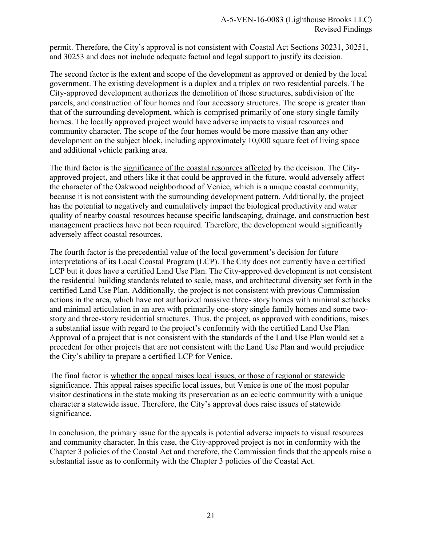permit. Therefore, the City's approval is not consistent with Coastal Act Sections 30231, 30251, and 30253 and does not include adequate factual and legal support to justify its decision.

The second factor is the extent and scope of the development as approved or denied by the local government. The existing development is a duplex and a triplex on two residential parcels. The City-approved development authorizes the demolition of those structures, subdivision of the parcels, and construction of four homes and four accessory structures. The scope is greater than that of the surrounding development, which is comprised primarily of one-story single family homes. The locally approved project would have adverse impacts to visual resources and community character. The scope of the four homes would be more massive than any other development on the subject block, including approximately 10,000 square feet of living space and additional vehicle parking area.

The third factor is the significance of the coastal resources affected by the decision. The Cityapproved project, and others like it that could be approved in the future, would adversely affect the character of the Oakwood neighborhood of Venice, which is a unique coastal community, because it is not consistent with the surrounding development pattern. Additionally, the project has the potential to negatively and cumulatively impact the biological productivity and water quality of nearby coastal resources because specific landscaping, drainage, and construction best management practices have not been required. Therefore, the development would significantly adversely affect coastal resources.

The fourth factor is the precedential value of the local government's decision for future interpretations of its Local Coastal Program (LCP). The City does not currently have a certified LCP but it does have a certified Land Use Plan. The City-approved development is not consistent the residential building standards related to scale, mass, and architectural diversity set forth in the certified Land Use Plan. Additionally, the project is not consistent with previous Commission actions in the area, which have not authorized massive three- story homes with minimal setbacks and minimal articulation in an area with primarily one-story single family homes and some twostory and three-story residential structures. Thus, the project, as approved with conditions, raises a substantial issue with regard to the project's conformity with the certified Land Use Plan. Approval of a project that is not consistent with the standards of the Land Use Plan would set a precedent for other projects that are not consistent with the Land Use Plan and would prejudice the City's ability to prepare a certified LCP for Venice.

The final factor is whether the appeal raises local issues, or those of regional or statewide significance. This appeal raises specific local issues, but Venice is one of the most popular visitor destinations in the state making its preservation as an eclectic community with a unique character a statewide issue. Therefore, the City's approval does raise issues of statewide significance.

In conclusion, the primary issue for the appeals is potential adverse impacts to visual resources and community character. In this case, the City-approved project is not in conformity with the Chapter 3 policies of the Coastal Act and therefore, the Commission finds that the appeals raise a substantial issue as to conformity with the Chapter 3 policies of the Coastal Act.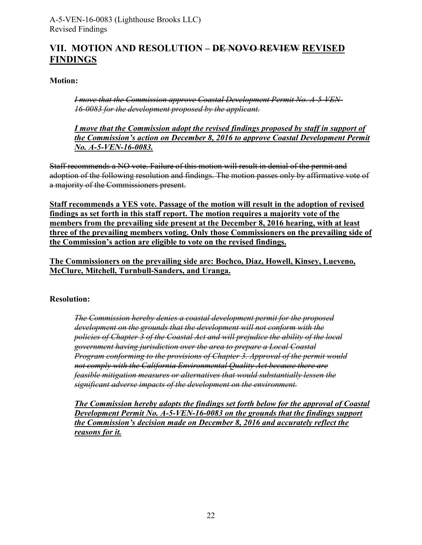## <span id="page-21-0"></span>**VII. MOTION AND RESOLUTION – DE NOVO REVIEW REVISED FINDINGS**

**Motion:**

*I move that the Commission approve Coastal Development Permit No. A-5-VEN-16-0083 for the development proposed by the applicant.* 

*I move that the Commission adopt the revised findings proposed by staff in support of the Commission's action on December 8, 2016 to approve Coastal Development Permit No. A-5-VEN-16-0083.* 

Staff recommends a NO vote. Failure of this motion will result in denial of the permit and adoption of the following resolution and findings. The motion passes only by affirmative vote of a majority of the Commissioners present.

**Staff recommends a YES vote. Passage of the motion will result in the adoption of revised findings as set forth in this staff report. The motion requires a majority vote of the members from the prevailing side present at the December 8, 2016 hearing, with at least three of the prevailing members voting. Only those Commissioners on the prevailing side of the Commission's action are eligible to vote on the revised findings.** 

**The Commissioners on the prevailing side are: Bochco, Diaz, Howell, Kinsey, Lueveno, McClure, Mitchell, Turnbull-Sanders, and Uranga.**

## **Resolution:**

*The Commission hereby denies a coastal development permit for the proposed development on the grounds that the development will not conform with the policies of Chapter 3 of the Coastal Act and will prejudice the ability of the local government having jurisdiction over the area to prepare a Local Coastal Program conforming to the provisions of Chapter 3. Approval of the permit would not comply with the California Environmental Quality Act because there are feasible mitigation measures or alternatives that would substantially lessen the significant adverse impacts of the development on the environment.* 

*The Commission hereby adopts the findings set forth below for the approval of Coastal Development Permit No. A-5-VEN-16-0083 on the grounds that the findings support the Commission's decision made on December 8, 2016 and accurately reflect the reasons for it.*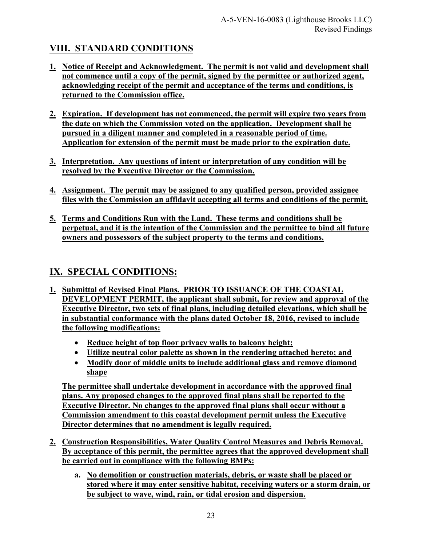# <span id="page-22-0"></span>**VIII. STANDARD CONDITIONS**

- **1. Notice of Receipt and Acknowledgment. The permit is not valid and development shall not commence until a copy of the permit, signed by the permittee or authorized agent, acknowledging receipt of the permit and acceptance of the terms and conditions, is returned to the Commission office.**
- **2. Expiration. If development has not commenced, the permit will expire two years from the date on which the Commission voted on the application. Development shall be pursued in a diligent manner and completed in a reasonable period of time. Application for extension of the permit must be made prior to the expiration date.**
- **3. Interpretation. Any questions of intent or interpretation of any condition will be resolved by the Executive Director or the Commission.**
- **4. Assignment. The permit may be assigned to any qualified person, provided assignee files with the Commission an affidavit accepting all terms and conditions of the permit.**
- **5. Terms and Conditions Run with the Land. These terms and conditions shall be perpetual, and it is the intention of the Commission and the permittee to bind all future owners and possessors of the subject property to the terms and conditions.**

# **IX. SPECIAL CONDITIONS:**

- **1. Submittal of Revised Final Plans. PRIOR TO ISSUANCE OF THE COASTAL DEVELOPMENT PERMIT, the applicant shall submit, for review and approval of the Executive Director, two sets of final plans, including detailed elevations, which shall be in substantial conformance with the plans dated October 18, 2016, revised to include the following modifications:** 
	- **Reduce height of top floor privacy walls to balcony height;**
	- **Utilize neutral color palette as shown in the rendering attached hereto; and**
	- **Modify door of middle units to include additional glass and remove diamond shape**

**The permittee shall undertake development in accordance with the approved final plans. Any proposed changes to the approved final plans shall be reported to the Executive Director. No changes to the approved final plans shall occur without a Commission amendment to this coastal development permit unless the Executive Director determines that no amendment is legally required.** 

- **2. Construction Responsibilities, Water Quality Control Measures and Debris Removal. By acceptance of this permit, the permittee agrees that the approved development shall be carried out in compliance with the following BMPs:** 
	- **a. No demolition or construction materials, debris, or waste shall be placed or stored where it may enter sensitive habitat, receiving waters or a storm drain, or be subject to wave, wind, rain, or tidal erosion and dispersion.**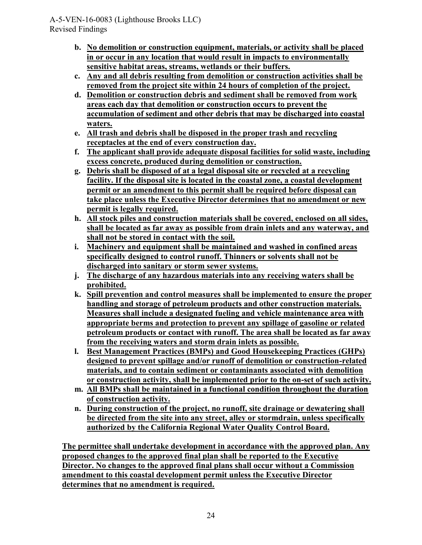- **b. No demolition or construction equipment, materials, or activity shall be placed in or occur in any location that would result in impacts to environmentally sensitive habitat areas, streams, wetlands or their buffers.**
- **c. Any and all debris resulting from demolition or construction activities shall be removed from the project site within 24 hours of completion of the project.**
- **d. Demolition or construction debris and sediment shall be removed from work areas each day that demolition or construction occurs to prevent the accumulation of sediment and other debris that may be discharged into coastal waters.**
- **e. All trash and debris shall be disposed in the proper trash and recycling receptacles at the end of every construction day.**
- **f. The applicant shall provide adequate disposal facilities for solid waste, including excess concrete, produced during demolition or construction.**
- **g. Debris shall be disposed of at a legal disposal site or recycled at a recycling facility. If the disposal site is located in the coastal zone, a coastal development permit or an amendment to this permit shall be required before disposal can take place unless the Executive Director determines that no amendment or new permit is legally required.**
- **h. All stock piles and construction materials shall be covered, enclosed on all sides, shall be located as far away as possible from drain inlets and any waterway, and shall not be stored in contact with the soil.**
- **i. Machinery and equipment shall be maintained and washed in confined areas specifically designed to control runoff. Thinners or solvents shall not be discharged into sanitary or storm sewer systems.**
- **j. The discharge of any hazardous materials into any receiving waters shall be prohibited.**
- **k. Spill prevention and control measures shall be implemented to ensure the proper handling and storage of petroleum products and other construction materials. Measures shall include a designated fueling and vehicle maintenance area with appropriate berms and protection to prevent any spillage of gasoline or related petroleum products or contact with runoff. The area shall be located as far away from the receiving waters and storm drain inlets as possible.**
- **l. Best Management Practices (BMPs) and Good Housekeeping Practices (GHPs) designed to prevent spillage and/or runoff of demolition or construction-related materials, and to contain sediment or contaminants associated with demolition or construction activity, shall be implemented prior to the on-set of such activity.**
- **m. All BMPs shall be maintained in a functional condition throughout the duration of construction activity.**
- **n. During construction of the project, no runoff, site drainage or dewatering shall be directed from the site into any street, alley or stormdrain, unless specifically authorized by the California Regional Water Quality Control Board.**

**The permittee shall undertake development in accordance with the approved plan. Any proposed changes to the approved final plan shall be reported to the Executive Director. No changes to the approved final plans shall occur without a Commission amendment to this coastal development permit unless the Executive Director determines that no amendment is required.**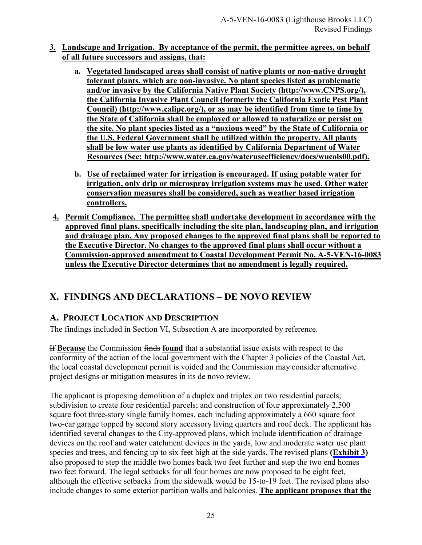- <span id="page-24-0"></span>**3. Landscape and Irrigation. By acceptance of the permit, the permittee agrees, on behalf of all future successors and assigns, that:** 
	- **a. Vegetated landscaped areas shall consist of native plants or non-native drought tolerant plants, which are non-invasive. No plant species listed as problematic and/or invasive by the California Native Plant Society (http://www.CNPS.org/), the California Invasive Plant Council (formerly the California Exotic Pest Plant Council) (http://www.calipc.org/), or as may be identified from time to time by the State of California shall be employed or allowed to naturalize or persist on the site. No plant species listed as a "noxious weed" by the State of California or the U.S. Federal Government shall be utilized within the property. All plants shall be low water use plants as identified by California Department of Water Resources (See: http://www.water.ca.gov/wateruseefficiency/docs/wucols00.pdf).**
	- **b. Use of reclaimed water for irrigation is encouraged. If using potable water for irrigation, only drip or microspray irrigation systems may be used. Other water conservation measures shall be considered, such as weather based irrigation controllers.**
- **4. Permit Compliance. The permittee shall undertake development in accordance with the approved final plans, specifically including the site plan, landscaping plan, and irrigation and drainage plan. Any proposed changes to the approved final plans shall be reported to the Executive Director. No changes to the approved final plans shall occur without a Commission-approved amendment to Coastal Development Permit No. A-5-VEN-16-0083 unless the Executive Director determines that no amendment is legally required.**

# **X. FINDINGS AND DECLARATIONS – DE NOVO REVIEW**

# **A. PROJECT LOCATION AND DESCRIPTION**

The findings included in Section VI, Subsection A are incorporated by reference.

If **Because** the Commission finds **found** that a substantial issue exists with respect to the conformity of the action of the local government with the Chapter 3 policies of the Coastal Act, the local coastal development permit is voided and the Commission may consider alternative project designs or mitigation measures in its de novo review.

The applicant is proposing demolition of a duplex and triplex on two residential parcels; subdivision to create four residential parcels; and construction of four approximately 2,500 square foot three-story single family homes, each including approximately a 660 square foot two-car garage topped by second story accessory living quarters and roof deck. The applicant has identified several changes to the City-approved plans, which include identification of drainage devices on the roof and water catchment devices in the yards, low and moderate water use plant species and trees, and fencing up to six feet high at the side yards. The revised plans **[\(Exhibit 3](https://documents.coastal.ca.gov/reports/2017/5/F17a/F17a-5-2017-exhibits.pdf))** also proposed to step the middle two homes back two feet further and step the two end homes two feet forward. The legal setbacks for all four homes are now proposed to be eight feet, although the effective setbacks from the sidewalk would be 15-to-19 feet. The revised plans also include changes to some exterior partition walls and balconies. **The applicant proposes that the**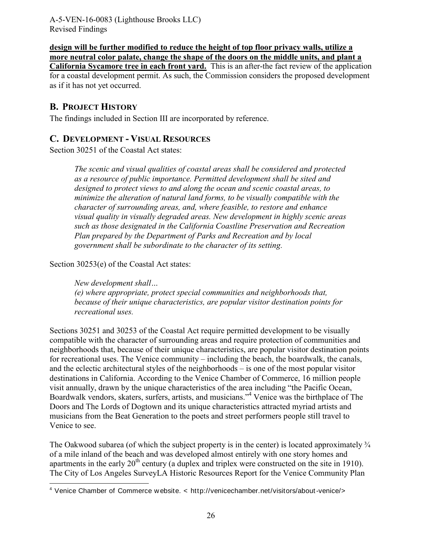<span id="page-25-0"></span>**design will be further modified to reduce the height of top floor privacy walls, utilize a more neutral color palate, change the shape of the doors on the middle units, and plant a California Sycamore tree in each front yard.** This is an after-the fact review of the application for a coastal development permit. As such, the Commission considers the proposed development as if it has not yet occurred.

## **B. PROJECT HISTORY**

The findings included in Section III are incorporated by reference.

## **C. DEVELOPMENT - VISUAL RESOURCES**

Section 30251 of the Coastal Act states:

*The scenic and visual qualities of coastal areas shall be considered and protected as a resource of public importance. Permitted development shall be sited and designed to protect views to and along the ocean and scenic coastal areas, to minimize the alteration of natural land forms, to be visually compatible with the character of surrounding areas, and, where feasible, to restore and enhance visual quality in visually degraded areas. New development in highly scenic areas such as those designated in the California Coastline Preservation and Recreation Plan prepared by the Department of Parks and Recreation and by local government shall be subordinate to the character of its setting.* 

Section 30253(e) of the Coastal Act states:

*New development shall… (e) where appropriate, protect special communities and neighborhoods that, because of their unique characteristics, are popular visitor destination points for recreational uses.* 

Sections 30251 and 30253 of the Coastal Act require permitted development to be visually compatible with the character of surrounding areas and require protection of communities and neighborhoods that, because of their unique characteristics, are popular visitor destination points for recreational uses. The Venice community – including the beach, the boardwalk, the canals, and the eclectic architectural styles of the neighborhoods – is one of the most popular visitor destinations in California. According to the Venice Chamber of Commerce, 16 million people visit annually, drawn by the unique characteristics of the area including "the Pacific Ocean, Boardwalk vendors, skaters, surfers, artists, and musicians."<sup>4</sup> Venice was the birthplace of The Doors and The Lords of Dogtown and its unique characteristics attracted myriad artists and musicians from the Beat Generation to the poets and street performers people still travel to Venice to see.

The Oakwood subarea (of which the subject property is in the center) is located approximately  $\frac{3}{4}$ of a mile inland of the beach and was developed almost entirely with one story homes and apartments in the early  $20<sup>th</sup>$  century (a duplex and triplex were constructed on the site in 1910). The City of Los Angeles SurveyLA Historic Resources Report for the Venice Community Plan

 $\overline{a}$ 4 Venice Chamber of Commerce w ebsite. < http://venicechamber.net/visitors/about -venice/>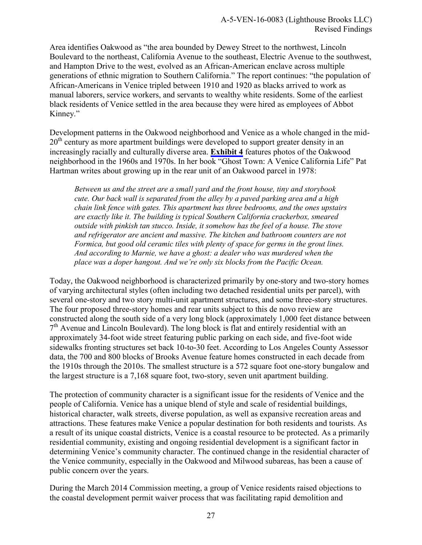Area identifies Oakwood as "the area bounded by Dewey Street to the northwest, Lincoln Boulevard to the northeast, California Avenue to the southeast, Electric Avenue to the southwest, and Hampton Drive to the west, evolved as an African-American enclave across multiple generations of ethnic migration to Southern California." The report continues: "the population of African-Americans in Venice tripled between 1910 and 1920 as blacks arrived to work as manual laborers, service workers, and servants to wealthy white residents. Some of the earliest black residents of Venice settled in the area because they were hired as employees of Abbot Kinney."

Development patterns in the Oakwood neighborhood and Venice as a whole changed in the mid- $20<sup>th</sup>$  century as more apartment buildings were developed to support greater density in an increasingly racially and culturally diverse area. **[Exhibit 4](https://documents.coastal.ca.gov/reports/2017/5/F17a/F17a-5-2017-exhibits.pdf)** features photos of the Oakwood neighborhood in the 1960s and 1970s. In her book "Ghost Town: A Venice California Life" Pat Hartman writes about growing up in the rear unit of an Oakwood parcel in 1978:

*Between us and the street are a small yard and the front house, tiny and storybook cute. Our back wall is separated from the alley by a paved parking area and a high chain link fence with gates. This apartment has three bedrooms, and the ones upstairs are exactly like it. The building is typical Southern California crackerbox, smeared outside with pinkish tan stucco. Inside, it somehow has the feel of a house. The stove*  and refrigerator are ancient and massive. The kitchen and bathroom counters are not *Formica, but good old ceramic tiles with plenty of space for germs in the grout lines. And according to Marnie, we have a ghost: a dealer who was murdered when the place was a doper hangout. And we're only six blocks from the Pacific Ocean.*

Today, the Oakwood neighborhood is characterized primarily by one-story and two-story homes of varying architectural styles (often including two detached residential units per parcel), with several one-story and two story multi-unit apartment structures, and some three-story structures. The four proposed three-story homes and rear units subject to this de novo review are constructed along the south side of a very long block (approximately 1,000 feet distance between 7<sup>th</sup> Avenue and Lincoln Boulevard). The long block is flat and entirely residential with an approximately 34-foot wide street featuring public parking on each side, and five-foot wide sidewalks fronting structures set back 10-to-30 feet. According to Los Angeles County Assessor data, the 700 and 800 blocks of Brooks Avenue feature homes constructed in each decade from the 1910s through the 2010s. The smallest structure is a 572 square foot one-story bungalow and the largest structure is a 7,168 square foot, two-story, seven unit apartment building.

The protection of community character is a significant issue for the residents of Venice and the people of California. Venice has a unique blend of style and scale of residential buildings, historical character, walk streets, diverse population, as well as expansive recreation areas and attractions. These features make Venice a popular destination for both residents and tourists. As a result of its unique coastal districts, Venice is a coastal resource to be protected. As a primarily residential community, existing and ongoing residential development is a significant factor in determining Venice's community character. The continued change in the residential character of the Venice community, especially in the Oakwood and Milwood subareas, has been a cause of public concern over the years.

During the March 2014 Commission meeting, a group of Venice residents raised objections to the coastal development permit waiver process that was facilitating rapid demolition and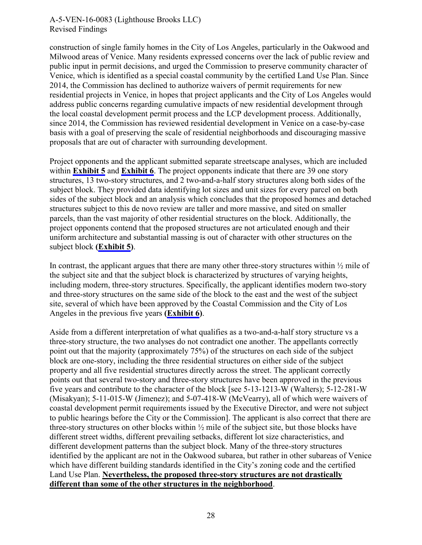construction of single family homes in the City of Los Angeles, particularly in the Oakwood and Milwood areas of Venice. Many residents expressed concerns over the lack of public review and public input in permit decisions, and urged the Commission to preserve community character of Venice, which is identified as a special coastal community by the certified Land Use Plan. Since 2014, the Commission has declined to authorize waivers of permit requirements for new residential projects in Venice, in hopes that project applicants and the City of Los Angeles would address public concerns regarding cumulative impacts of new residential development through the local coastal development permit process and the LCP development process. Additionally, since 2014, the Commission has reviewed residential development in Venice on a case-by-case basis with a goal of preserving the scale of residential neighborhoods and discouraging massive proposals that are out of character with surrounding development.

Project opponents and the applicant submitted separate streetscape analyses, which are included within **[Exhibit 5](https://documents.coastal.ca.gov/reports/2017/5/F17a/F17a-5-2017-exhibits.pdf)** and **[Exhibit 6](https://documents.coastal.ca.gov/reports/2017/5/F17a/F17a-5-2017-exhibits.pdf)**. The project opponents indicate that there are 39 one story structures, 13 two-story structures, and 2 two-and-a-half story structures along both sides of the subject block. They provided data identifying lot sizes and unit sizes for every parcel on both sides of the subject block and an analysis which concludes that the proposed homes and detached structures subject to this de novo review are taller and more massive, and sited on smaller parcels, than the vast majority of other residential structures on the block. Additionally, the project opponents contend that the proposed structures are not articulated enough and their uniform architecture and substantial massing is out of character with other structures on the subject block **([Exhibit 5\)](https://documents.coastal.ca.gov/reports/2017/5/F17a/F17a-5-2017-exhibits.pdf)**.

In contrast, the applicant argues that there are many other three-story structures within  $\frac{1}{2}$  mile of the subject site and that the subject block is characterized by structures of varying heights, including modern, three-story structures. Specifically, the applicant identifies modern two-story and three-story structures on the same side of the block to the east and the west of the subject site, several of which have been approved by the Coastal Commission and the City of Los Angeles in the previous five years **[\(Exhibit 6\)](https://documents.coastal.ca.gov/reports/2017/5/F17a/F17a-5-2017-exhibits.pdf)**.

Aside from a different interpretation of what qualifies as a two-and-a-half story structure vs a three-story structure, the two analyses do not contradict one another. The appellants correctly point out that the majority (approximately 75%) of the structures on each side of the subject block are one-story, including the three residential structures on either side of the subject property and all five residential structures directly across the street. The applicant correctly points out that several two-story and three-story structures have been approved in the previous five years and contribute to the character of the block [see 5-13-1213-W (Walters); 5-12-281-W (Misakyan); 5-11-015-W (Jimenez); and 5-07-418-W (McVearry), all of which were waivers of coastal development permit requirements issued by the Executive Director, and were not subject to public hearings before the City or the Commission]. The applicant is also correct that there are three-story structures on other blocks within  $\frac{1}{2}$  mile of the subject site, but those blocks have different street widths, different prevailing setbacks, different lot size characteristics, and different development patterns than the subject block. Many of the three-story structures identified by the applicant are not in the Oakwood subarea, but rather in other subareas of Venice which have different building standards identified in the City's zoning code and the certified Land Use Plan. **Nevertheless, the proposed three-story structures are not drastically different than some of the other structures in the neighborhood**.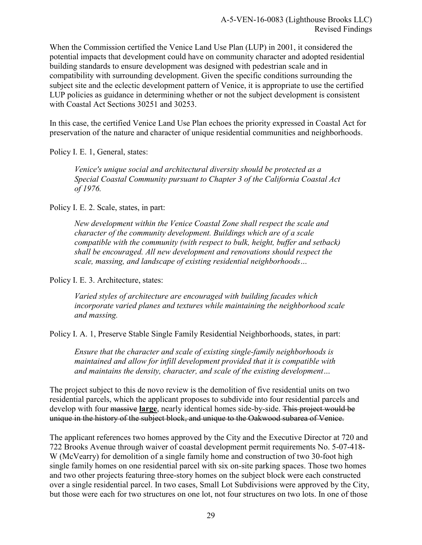When the Commission certified the Venice Land Use Plan (LUP) in 2001, it considered the potential impacts that development could have on community character and adopted residential building standards to ensure development was designed with pedestrian scale and in compatibility with surrounding development. Given the specific conditions surrounding the subject site and the eclectic development pattern of Venice, it is appropriate to use the certified LUP policies as guidance in determining whether or not the subject development is consistent with Coastal Act Sections 30251 and 30253.

In this case, the certified Venice Land Use Plan echoes the priority expressed in Coastal Act for preservation of the nature and character of unique residential communities and neighborhoods.

Policy I. E. 1, General, states:

*Venice's unique social and architectural diversity should be protected as a Special Coastal Community pursuant to Chapter 3 of the California Coastal Act of 1976.* 

Policy I. E. 2. Scale, states, in part:

*New development within the Venice Coastal Zone shall respect the scale and character of the community development. Buildings which are of a scale compatible with the community (with respect to bulk, height, buffer and setback) shall be encouraged. All new development and renovations should respect the scale, massing, and landscape of existing residential neighborhoods…* 

Policy I. E. 3. Architecture, states:

*Varied styles of architecture are encouraged with building facades which incorporate varied planes and textures while maintaining the neighborhood scale and massing.* 

Policy I. A. 1, Preserve Stable Single Family Residential Neighborhoods, states, in part:

*Ensure that the character and scale of existing single-family neighborhoods is maintained and allow for infill development provided that it is compatible with and maintains the density, character, and scale of the existing development…* 

The project subject to this de novo review is the demolition of five residential units on two residential parcels, which the applicant proposes to subdivide into four residential parcels and develop with four massive **large**, nearly identical homes side-by-side. This project would be unique in the history of the subject block, and unique to the Oakwood subarea of Venice.

The applicant references two homes approved by the City and the Executive Director at 720 and 722 Brooks Avenue through waiver of coastal development permit requirements No. 5-07-418- W (McVearry) for demolition of a single family home and construction of two 30-foot high single family homes on one residential parcel with six on-site parking spaces. Those two homes and two other projects featuring three-story homes on the subject block were each constructed over a single residential parcel. In two cases, Small Lot Subdivisions were approved by the City, but those were each for two structures on one lot, not four structures on two lots. In one of those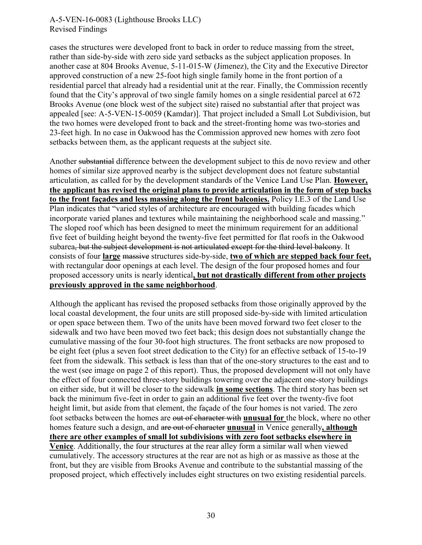cases the structures were developed front to back in order to reduce massing from the street, rather than side-by-side with zero side yard setbacks as the subject application proposes. In another case at 804 Brooks Avenue, 5-11-015-W (Jimenez), the City and the Executive Director approved construction of a new 25-foot high single family home in the front portion of a residential parcel that already had a residential unit at the rear. Finally, the Commission recently found that the City's approval of two single family homes on a single residential parcel at 672 Brooks Avenue (one block west of the subject site) raised no substantial after that project was appealed [see: A-5-VEN-15-0059 (Kamdar)]. That project included a Small Lot Subdivision, but the two homes were developed front to back and the street-fronting home was two-stories and 23-feet high. In no case in Oakwood has the Commission approved new homes with zero foot setbacks between them, as the applicant requests at the subject site.

Another substantial difference between the development subject to this de novo review and other homes of similar size approved nearby is the subject development does not feature substantial articulation, as called for by the development standards of the Venice Land Use Plan. **However, the applicant has revised the original plans to provide articulation in the form of step backs to the front façades and less massing along the front balconies.** Policy I.E.3 of the Land Use Plan indicates that "varied styles of architecture are encouraged with building facades which incorporate varied planes and textures while maintaining the neighborhood scale and massing." The sloped roof which has been designed to meet the minimum requirement for an additional five feet of building height beyond the twenty-five feet permitted for flat roofs in the Oakwood subarea, but the subject development is not articulated except for the third level balcony. It consists of four **large** massive structures side-by-side, **two of which are stepped back four feet,** with rectangular door openings at each level. The design of the four proposed homes and four proposed accessory units is nearly identical**, but not drastically different from other projects previously approved in the same neighborhood**.

Although the applicant has revised the proposed setbacks from those originally approved by the local coastal development, the four units are still proposed side-by-side with limited articulation or open space between them. Two of the units have been moved forward two feet closer to the sidewalk and two have been moved two feet back; this design does not substantially change the cumulative massing of the four 30-foot high structures. The front setbacks are now proposed to be eight feet (plus a seven foot street dedication to the City) for an effective setback of 15-to-19 feet from the sidewalk. This setback is less than that of the one-story structures to the east and to the west (see image on page 2 of this report). Thus, the proposed development will not only have the effect of four connected three-story buildings towering over the adjacent one-story buildings on either side, but it will be closer to the sidewalk **in some sections**. The third story has been set back the minimum five-feet in order to gain an additional five feet over the twenty-five foot height limit, but aside from that element, the façade of the four homes is not varied. The zero foot setbacks between the homes are out of character with **unusual for** the block, where no other homes feature such a design, and are out of character **unusual** in Venice generally**, although there are other examples of small lot subdivisions with zero foot setbacks elsewhere in Venice**. Additionally, the four structures at the rear alley form a similar wall when viewed cumulatively. The accessory structures at the rear are not as high or as massive as those at the front, but they are visible from Brooks Avenue and contribute to the substantial massing of the proposed project, which effectively includes eight structures on two existing residential parcels.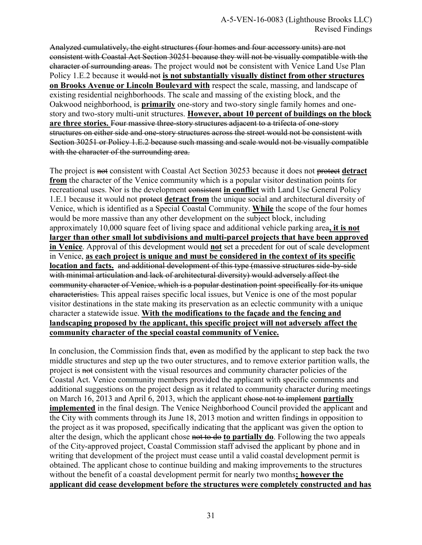Analyzed cumulatively, the eight structures (four homes and four accessory units) are not consistent with Coastal Act Section 30251 because they will not be visually compatible with the character of surrounding areas. The project would not be consistent with Venice Land Use Plan Policy 1.E.2 because it would not **is not substantially visually distinct from other structures on Brooks Avenue or Lincoln Boulevard with** respect the scale, massing, and landscape of existing residential neighborhoods. The scale and massing of the existing block, and the Oakwood neighborhood, is **primarily** one-story and two-story single family homes and onestory and two-story multi-unit structures. **However, about 10 percent of buildings on the block are three stories.** Four massive three-story structures adjacent to a trifecta of one-story structures on either side and one-story structures across the street would not be consistent with Section 30251 or Policy 1.E.2 because such massing and scale would not be visually compatible with the character of the surrounding area.

The project is not consistent with Coastal Act Section 30253 because it does not protect **detract from** the character of the Venice community which is a popular visitor destination points for recreational uses. Nor is the development consistent **in conflict** with Land Use General Policy 1.E.1 because it would not protect **detract from** the unique social and architectural diversity of Venice, which is identified as a Special Coastal Community. **While** the scope of the four homes would be more massive than any other development on the subject block, including approximately 10,000 square feet of living space and additional vehicle parking area**, it is not larger than other small lot subdivisions and multi-parcel projects that have been approved in Venice**. Approval of this development would **not** set a precedent for out of scale development in Venice, **as each project is unique and must be considered in the context of its specific location and facts.** and additional development of this type (massive structures side-by-side with minimal articulation and lack of architectural diversity) would adversely affect the community character of Venice, which is a popular destination point specifically for its unique characteristics. This appeal raises specific local issues, but Venice is one of the most popular visitor destinations in the state making its preservation as an eclectic community with a unique character a statewide issue. **With the modifications to the façade and the fencing and landscaping proposed by the applicant, this specific project will not adversely affect the community character of the special coastal community of Venice.**

In conclusion, the Commission finds that, even as modified by the applicant to step back the two middle structures and step up the two outer structures, and to remove exterior partition walls, the project is not consistent with the visual resources and community character policies of the Coastal Act. Venice community members provided the applicant with specific comments and additional suggestions on the project design as it related to community character during meetings on March 16, 2013 and April 6, 2013, which the applicant chose not to implement **partially implemented** in the final design. The Venice Neighborhood Council provided the applicant and the City with comments through its June 18, 2013 motion and written findings in opposition to the project as it was proposed, specifically indicating that the applicant was given the option to alter the design, which the applicant chose not to do **to partially do**. Following the two appeals of the City-approved project, Coastal Commission staff advised the applicant by phone and in writing that development of the project must cease until a valid coastal development permit is obtained. The applicant chose to continue building and making improvements to the structures without the benefit of a coastal development permit for nearly two months**; however the applicant did cease development before the structures were completely constructed and has**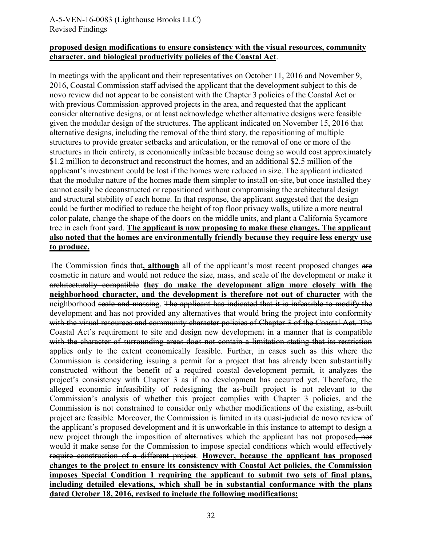#### **proposed design modifications to ensure consistency with the visual resources, community character, and biological productivity policies of the Coastal Act**.

In meetings with the applicant and their representatives on October 11, 2016 and November 9, 2016, Coastal Commission staff advised the applicant that the development subject to this de novo review did not appear to be consistent with the Chapter 3 policies of the Coastal Act or with previous Commission-approved projects in the area, and requested that the applicant consider alternative designs, or at least acknowledge whether alternative designs were feasible given the modular design of the structures. The applicant indicated on November 15, 2016 that alternative designs, including the removal of the third story, the repositioning of multiple structures to provide greater setbacks and articulation, or the removal of one or more of the structures in their entirety, is economically infeasible because doing so would cost approximately \$1.2 million to deconstruct and reconstruct the homes, and an additional \$2.5 million of the applicant's investment could be lost if the homes were reduced in size. The applicant indicated that the modular nature of the homes made them simpler to install on-site, but once installed they cannot easily be deconstructed or repositioned without compromising the architectural design and structural stability of each home. In that response, the applicant suggested that the design could be further modified to reduce the height of top floor privacy walls, utilize a more neutral color palate, change the shape of the doors on the middle units, and plant a California Sycamore tree in each front yard. **The applicant is now proposing to make these changes. The applicant also noted that the homes are environmentally friendly because they require less energy use to produce.**

The Commission finds that**, although** all of the applicant's most recent proposed changes are cosmetic in nature and would not reduce the size, mass, and scale of the development or make it architecturally compatible **they do make the development align more closely with the neighborhood character, and the development is therefore not out of character** with the neighborhood scale and massing. The applicant has indicated that it is infeasible to modify the development and has not provided any alternatives that would bring the project into conformity with the visual resources and community character policies of Chapter 3 of the Coastal Act. The Coastal Act's requirement to site and design new development in a manner that is compatible with the character of surrounding areas does not contain a limitation stating that its restriction applies only to the extent economically feasible. Further, in cases such as this where the Commission is considering issuing a permit for a project that has already been substantially constructed without the benefit of a required coastal development permit, it analyzes the project's consistency with Chapter 3 as if no development has occurred yet. Therefore, the alleged economic infeasibility of redesigning the as-built project is not relevant to the Commission's analysis of whether this project complies with Chapter 3 policies, and the Commission is not constrained to consider only whether modifications of the existing, as-built project are feasible. Moreover, the Commission is limited in its quasi-judicial de novo review of the applicant's proposed development and it is unworkable in this instance to attempt to design a new project through the imposition of alternatives which the applicant has not proposed, nor would it make sense for the Commission to impose special conditions which would effectively require construction of a different project. **However, because the applicant has proposed changes to the project to ensure its consistency with Coastal Act policies, the Commission imposes Special Condition 1 requiring the applicant to submit two sets of final plans, including detailed elevations, which shall be in substantial conformance with the plans dated October 18, 2016, revised to include the following modifications:**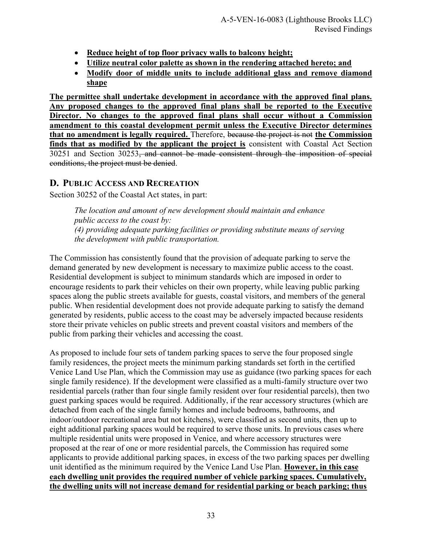- <span id="page-32-0"></span>**Reduce height of top floor privacy walls to balcony height;**
- **Utilize neutral color palette as shown in the rendering attached hereto; and**
- **Modify door of middle units to include additional glass and remove diamond shape**

**The permittee shall undertake development in accordance with the approved final plans. Any proposed changes to the approved final plans shall be reported to the Executive Director. No changes to the approved final plans shall occur without a Commission amendment to this coastal development permit unless the Executive Director determines that no amendment is legally required.** Therefore, because the project is not **the Commission finds that as modified by the applicant the project is** consistent with Coastal Act Section 30251 and Section 30253, and cannot be made consistent through the imposition of special conditions, the project must be denied.

## **D. PUBLIC ACCESS AND RECREATION**

Section 30252 of the Coastal Act states, in part:

*The location and amount of new development should maintain and enhance public access to the coast by: (4) providing adequate parking facilities or providing substitute means of serving the development with public transportation.* 

The Commission has consistently found that the provision of adequate parking to serve the demand generated by new development is necessary to maximize public access to the coast. Residential development is subject to minimum standards which are imposed in order to encourage residents to park their vehicles on their own property, while leaving public parking spaces along the public streets available for guests, coastal visitors, and members of the general public. When residential development does not provide adequate parking to satisfy the demand generated by residents, public access to the coast may be adversely impacted because residents store their private vehicles on public streets and prevent coastal visitors and members of the public from parking their vehicles and accessing the coast.

As proposed to include four sets of tandem parking spaces to serve the four proposed single family residences, the project meets the minimum parking standards set forth in the certified Venice Land Use Plan, which the Commission may use as guidance (two parking spaces for each single family residence). If the development were classified as a multi-family structure over two residential parcels (rather than four single family resident over four residential parcels), then two guest parking spaces would be required. Additionally, if the rear accessory structures (which are detached from each of the single family homes and include bedrooms, bathrooms, and indoor/outdoor recreational area but not kitchens), were classified as second units, then up to eight additional parking spaces would be required to serve those units. In previous cases where multiple residential units were proposed in Venice, and where accessory structures were proposed at the rear of one or more residential parcels, the Commission has required some applicants to provide additional parking spaces, in excess of the two parking spaces per dwelling unit identified as the minimum required by the Venice Land Use Plan. **However, in this case each dwelling unit provides the required number of vehicle parking spaces. Cumulatively, the dwelling units will not increase demand for residential parking or beach parking; thus**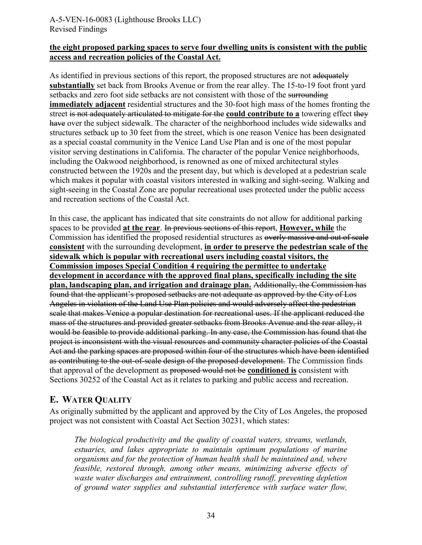## <span id="page-33-0"></span>**the eight proposed parking spaces to serve four dwelling units is consistent with the public access and recreation policies of the Coastal Act.**

As identified in previous sections of this report, the proposed structures are not adequately **substantially** set back from Brooks Avenue or from the rear alley. The 15-to-19 foot front yard setbacks and zero foot side setbacks are not consistent with those of the surrounding **immediately adjacent** residential structures and the 30-foot high mass of the homes fronting the street is not adequately articulated to mitigate for the **could contribute to a** towering effect they have over the subject sidewalk. The character of the neighborhood includes wide sidewalks and structures setback up to 30 feet from the street, which is one reason Venice has been designated as a special coastal community in the Venice Land Use Plan and is one of the most popular visitor serving destinations in California. The character of the popular Venice neighborhoods, including the Oakwood neighborhood, is renowned as one of mixed architectural styles constructed between the 1920s and the present day, but which is developed at a pedestrian scale which makes it popular with coastal visitors interested in walking and sight-seeing. Walking and sight-seeing in the Coastal Zone are popular recreational uses protected under the public access and recreation sections of the Coastal Act.

In this case, the applicant has indicated that site constraints do not allow for additional parking spaces to be provided **at the rear**. In previous sections of this report, **However, while** the Commission has identified the proposed residential structures as overly massive and out of scale **consistent** with the surrounding development, **in order to preserve the pedestrian scale of the sidewalk which is popular with recreational users including coastal visitors, the Commission imposes Special Condition 4 requiring the permittee to undertake development in accordance with the approved final plans, specifically including the site plan, landscaping plan, and irrigation and drainage plan.** Additionally, the Commission has found that the applicant's proposed setbacks are not adequate as approved by the City of Los Angeles in violation of the Land Use Plan policies and would adversely affect the pedestrian scale that makes Venice a popular destination for recreational uses. If the applicant reduced the mass of the structures and provided greater setbacks from Brooks Avenue and the rear alley, it would be feasible to provide additional parking. In any case, the Commission has found that the project is inconsistent with the visual resources and community character policies of the Coastal Act and the parking spaces are proposed within four of the structures which have been identified as contributing to the out-of-scale design of the proposed development. The Commission finds that approval of the development as proposed would not be **conditioned is** consistent with Sections 30252 of the Coastal Act as it relates to parking and public access and recreation.

## **E. WATER QUALITY**

As originally submitted by the applicant and approved by the City of Los Angeles, the proposed project was not consistent with Coastal Act Section 30231, which states:

*The biological productivity and the quality of coastal waters, streams, wetlands, estuaries, and lakes appropriate to maintain optimum populations of marine organisms and for the protection of human health shall be maintained and, where feasible, restored through, among other means, minimizing adverse effects of waste water discharges and entrainment, controlling runoff, preventing depletion of ground water supplies and substantial interference with surface water flow,*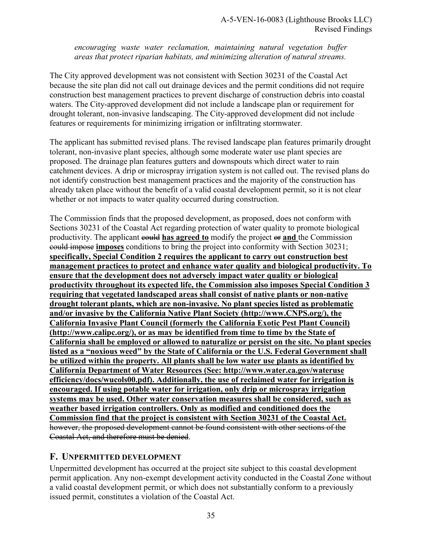<span id="page-34-0"></span>*encouraging waste water reclamation, maintaining natural vegetation buffer areas that protect riparian habitats, and minimizing alteration of natural streams.* 

The City approved development was not consistent with Section 30231 of the Coastal Act because the site plan did not call out drainage devices and the permit conditions did not require construction best management practices to prevent discharge of construction debris into coastal waters. The City-approved development did not include a landscape plan or requirement for drought tolerant, non-invasive landscaping. The City-approved development did not include features or requirements for minimizing irrigation or infiltrating stormwater.

The applicant has submitted revised plans. The revised landscape plan features primarily drought tolerant, non-invasive plant species, although some moderate water use plant species are proposed. The drainage plan features gutters and downspouts which direct water to rain catchment devices. A drip or microspray irrigation system is not called out. The revised plans do not identify construction best management practices and the majority of the construction has already taken place without the benefit of a valid coastal development permit, so it is not clear whether or not impacts to water quality occurred during construction.

The Commission finds that the proposed development, as proposed, does not conform with Sections 30231 of the Coastal Act regarding protection of water quality to promote biological productivity. The applicant could **has agreed to** modify the project or **and** the Commission could impose **imposes** conditions to bring the project into conformity with Section 30231; **specifically, Special Condition 2 requires the applicant to carry out construction best management practices to protect and enhance water quality and biological productivity. To ensure that the development does not adversely impact water quality or biological productivity throughout its expected life, the Commission also imposes Special Condition 3 requiring that vegetated landscaped areas shall consist of native plants or non-native drought tolerant plants, which are non-invasive. No plant species listed as problematic and/or invasive by the California Native Plant Society (http://www.CNPS.org/), the California Invasive Plant Council (formerly the California Exotic Pest Plant Council) (http://www.calipc.org/), or as may be identified from time to time by the State of California shall be employed or allowed to naturalize or persist on the site. No plant species listed as a "noxious weed" by the State of California or the U.S. Federal Government shall be utilized within the property. All plants shall be low water use plants as identified by California Department of Water Resources (See: http://www.water.ca.gov/wateruse efficiency/docs/wucols00.pdf). Additionally, the use of reclaimed water for irrigation is encouraged. If using potable water for irrigation, only drip or microspray irrigation systems may be used. Other water conservation measures shall be considered, such as weather based irrigation controllers. Only as modified and conditioned does the Commission find that the project is consistent with Section 30231 of the Coastal Act.** however, the proposed development cannot be found consistent with other sections of the Coastal Act, and therefore must be denied.

## **F. UNPERMITTED DEVELOPMENT**

Unpermitted development has occurred at the project site subject to this coastal development permit application. Any non-exempt development activity conducted in the Coastal Zone without a valid coastal development permit, or which does not substantially conform to a previously issued permit, constitutes a violation of the Coastal Act.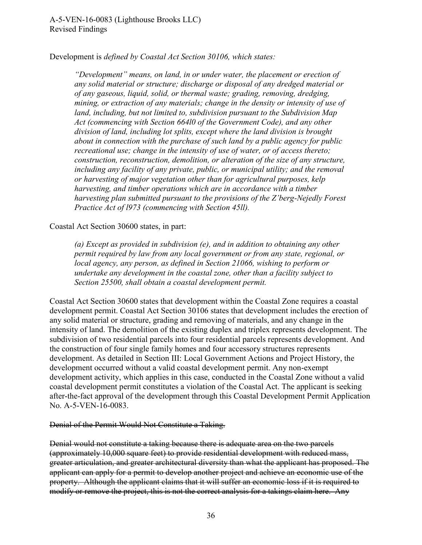Development is *defined by Coastal Act Section 30106, which states:*

*"Development" means, on land, in or under water, the placement or erection of any solid material or structure; discharge or disposal of any dredged material or of any gaseous, liquid, solid, or thermal waste; grading, removing, dredging, mining, or extraction of any materials; change in the density or intensity of use of land, including, but not limited to, subdivision pursuant to the Subdivision Map Act (commencing with Section 664l0 of the Government Code), and any other division of land, including lot splits, except where the land division is brought about in connection with the purchase of such land by a public agency for public recreational use; change in the intensity of use of water, or of access thereto; construction, reconstruction, demolition, or alteration of the size of any structure, including any facility of any private, public, or municipal utility; and the removal or harvesting of major vegetation other than for agricultural purposes, kelp harvesting, and timber operations which are in accordance with a timber harvesting plan submitted pursuant to the provisions of the Z'berg-Nejedly Forest Practice Act of l973 (commencing with Section 45ll).* 

Coastal Act Section 30600 states, in part:

*(a) Except as provided in subdivision (e), and in addition to obtaining any other permit required by law from any local government or from any state, regional, or local agency, any person, as defined in Section 21066, wishing to perform or undertake any development in the coastal zone, other than a facility subject to Section 25500, shall obtain a coastal development permit.* 

Coastal Act Section 30600 states that development within the Coastal Zone requires a coastal development permit. Coastal Act Section 30106 states that development includes the erection of any solid material or structure, grading and removing of materials, and any change in the intensity of land. The demolition of the existing duplex and triplex represents development. The subdivision of two residential parcels into four residential parcels represents development. And the construction of four single family homes and four accessory structures represents development. As detailed in Section III: Local Government Actions and Project History, the development occurred without a valid coastal development permit. Any non-exempt development activity, which applies in this case, conducted in the Coastal Zone without a valid coastal development permit constitutes a violation of the Coastal Act. The applicant is seeking after-the-fact approval of the development through this Coastal Development Permit Application No. A-5-VEN-16-0083.

#### Denial of the Permit Would Not Constitute a Taking.

Denial would not constitute a taking because there is adequate area on the two parcels (approximately 10,000 square feet) to provide residential development with reduced mass, greater articulation, and greater architectural diversity than what the applicant has proposed. The applicant can apply for a permit to develop another project and achieve an economic use of the property. Although the applicant claims that it will suffer an economic loss if it is required to modify or remove the project, this is not the correct analysis for a takings claim here. Any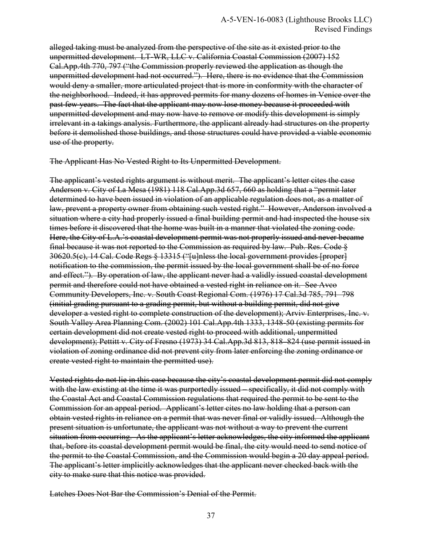alleged taking must be analyzed from the perspective of the site as it existed prior to the unpermitted development. LT-WR, LLC v. California Coastal Commission (2007) 152 Cal.App.4th 770, 797 ("the Commission properly reviewed the application as though the unpermitted development had not occurred."). Here, there is no evidence that the Commission would deny a smaller, more articulated project that is more in conformity with the character of the neighborhood. Indeed, it has approved permits for many dozens of homes in Venice over the past few years. The fact that the applicant may now lose money because it proceeded with unpermitted development and may now have to remove or modify this development is simply irrelevant in a takings analysis. Furthermore, the applicant already had structures on the property before it demolished those buildings, and those structures could have provided a viable economic use of the property.

The Applicant Has No Vested Right to Its Unpermitted Development.

The applicant's vested rights argument is without merit. The applicant's letter cites the case Anderson v. City of La Mesa (1981) 118 Cal.App.3d 657, 660 as holding that a "permit later determined to have been issued in violation of an applicable regulation does not, as a matter of law, prevent a property owner from obtaining such vested right." However, Anderson involved a situation where a city had properly issued a final building permit and had inspected the house six times before it discovered that the home was built in a manner that violated the zoning code. Here, the City of L.A.'s coastal development permit was not properly issued and never became final because it was not reported to the Commission as required by law. Pub. Res. Code § 30620.5(c), 14 Cal. Code Regs § 13315 ("[u]nless the local government provides [proper] notification to the commission, the permit issued by the local government shall be of no force and effect."). By operation of law, the applicant never had a validly issued coastal development permit and therefore could not have obtained a vested right in reliance on it. See Avco Community Developers, Inc. v. South Coast Regional Com. (1976) 17 Cal.3d 785, 791–798 (initial grading pursuant to a grading permit, but without a building permit, did not give developer a vested right to complete construction of the development); Arviv Enterprises, Inc. v. South Valley Area Planning Com. (2002) 101 Cal.App.4th 1333, 1348-50 (existing permits for certain development did not create vested right to proceed with additional, unpermitted development); Pettitt v. City of Fresno (1973) 34 Cal.App.3d 813, 818–824 (use permit issued in violation of zoning ordinance did not prevent city from later enforcing the zoning ordinance or create vested right to maintain the permitted use).

Vested rights do not lie in this case because the city's coastal development permit did not comply with the law existing at the time it was purportedly issued – specifically, it did not comply with the Coastal Act and Coastal Commission regulations that required the permit to be sent to the Commission for an appeal period. Applicant's letter cites no law holding that a person can obtain vested rights in reliance on a permit that was never final or validly issued. Although the present situation is unfortunate, the applicant was not without a way to prevent the current situation from occurring. As the applicant's letter acknowledges, the city informed the applicant that, before its coastal development permit would be final, the city would need to send notice of the permit to the Coastal Commission, and the Commission would begin a 20 day appeal period. The applicant's letter implicitly acknowledges that the applicant never checked back with the city to make sure that this notice was provided.

Latches Does Not Bar the Commission's Denial of the Permit.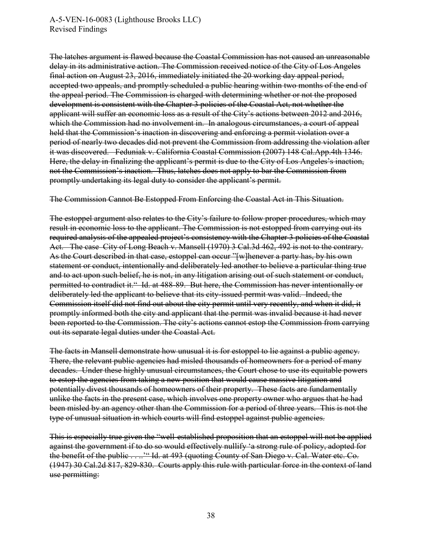The latches argument is flawed because the Coastal Commission has not caused an unreasonable delay in its administrative action. The Commission received notice of the City of Los Angeles final action on August 23, 2016, immediately initiated the 20 working day appeal period, accepted two appeals, and promptly scheduled a public hearing within two months of the end of the appeal period. The Commission is charged with determining whether or not the proposed development is consistent with the Chapter 3 policies of the Coastal Act, not whether the applicant will suffer an economic loss as a result of the City's actions between 2012 and 2016, which the Commission had no involvement in. In analogous circumstances, a court of appeal held that the Commission's inaction in discovering and enforcing a permit violation over a period of nearly two decades did not prevent the Commission from addressing the violation after it was discovered. Feduniak v. California Coastal Commission (2007) 148 Cal.App.4th 1346. Here, the delay in finalizing the applicant's permit is due to the City of Los Angeles's inaction, not the Commission's inaction. Thus, latches does not apply to bar the Commission from promptly undertaking its legal duty to consider the applicant's permit.

The Commission Cannot Be Estopped From Enforcing the Coastal Act in This Situation.

The estoppel argument also relates to the City's failure to follow proper procedures, which may result in economic loss to the applicant. The Commission is not estopped from carrying out its required analysis of the appealed project's consistency with the Chapter 3 policies of the Coastal Act. The case City of Long Beach v. Mansell (1970) 3 Cal.3d 462, 492 is not to the contrary. As the Court described in that case, estoppel can occur "[w]henever a party has, by his own statement or conduct, intentionally and deliberately led another to believe a particular thing true and to act upon such belief, he is not, in any litigation arising out of such statement or conduct, permitted to contradict it." Id. at 488-89. But here, the Commission has never intentionally or deliberately led the applicant to believe that its city-issued permit was valid. Indeed, the Commission itself did not find out about the city permit until very recently, and when it did, it promptly informed both the city and applicant that the permit was invalid because it had never been reported to the Commission. The city's actions cannot estop the Commission from carrying out its separate legal duties under the Coastal Act.

The facts in Mansell demonstrate how unusual it is for estoppel to lie against a public agency. There, the relevant public agencies had misled thousands of homeowners for a period of many decades. Under these highly unusual circumstances, the Court chose to use its equitable powers to estop the agencies from taking a new position that would cause massive litigation and potentially divest thousands of homeowners of their property. These facts are fundamentally unlike the facts in the present case, which involves one property owner who argues that he had been misled by an agency other than the Commission for a period of three years. This is not the type of unusual situation in which courts will find estoppel against public agencies.

This is especially true given the "well-established proposition that an estoppel will not be applied against the government if to do so would effectively nullify 'a strong rule of policy, adopted for the benefit of the public . . ..'" Id. at 493 (quoting County of San Diego v. Cal. Water etc. Co. (1947) 30 Cal.2d 817, 829-830. Courts apply this rule with particular force in the context of land use permitting: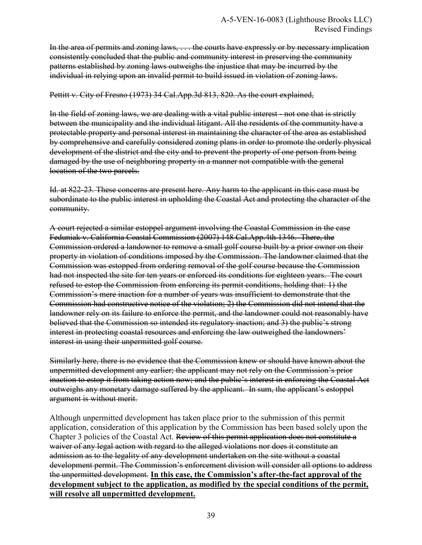In the area of permits and zoning laws, ... the courts have expressly or by necessary implication consistently concluded that the public and community interest in preserving the community patterns established by zoning laws outweighs the injustice that may be incurred by the individual in relying upon an invalid permit to build issued in violation of zoning laws.

## Pettitt v. City of Fresno (1973) 34 Cal.App.3d 813, 820. As the court explained,

In the field of zoning laws, we are dealing with a vital public interest - not one that is strictly between the municipality and the individual litigant. All the residents of the community have a protectable property and personal interest in maintaining the character of the area as established by comprehensive and carefully considered zoning plans in order to promote the orderly physical development of the district and the city and to prevent the property of one person from being damaged by the use of neighboring property in a manner not compatible with the general location of the two parcels.

Id. at 822-23. These concerns are present here. Any harm to the applicant in this case must be subordinate to the public interest in upholding the Coastal Act and protecting the character of the community.

A court rejected a similar estoppel argument involving the Coastal Commission in the case Feduniak v. California Coastal Commission (2007) 148 Cal.App.4th 1346. There, the Commission ordered a landowner to remove a small golf course built by a prior owner on their property in violation of conditions imposed by the Commission. The landowner claimed that the Commission was estopped from ordering removal of the golf course because the Commission had not inspected the site for ten years or enforced its conditions for eighteen years. The court refused to estop the Commission from enforcing its permit conditions, holding that: 1) the Commission's mere inaction for a number of years was insufficient to demonstrate that the Commission had constructive notice of the violation; 2) the Commission did not intend that the landowner rely on its failure to enforce the permit, and the landowner could not reasonably have believed that the Commission so intended its regulatory inaction; and 3) the public's strong interest in protecting coastal resources and enforcing the law outweighed the landowners' interest in using their unpermitted golf course.

Similarly here, there is no evidence that the Commission knew or should have known about the unpermitted development any earlier; the applicant may not rely on the Commission's prior inaction to estop it from taking action now; and the public's interest in enforcing the Coastal Act outweighs any monetary damage suffered by the applicant. In sum, the applicant's estoppel argument is without merit.

Although unpermitted development has taken place prior to the submission of this permit application, consideration of this application by the Commission has been based solely upon the Chapter 3 policies of the Coastal Act. Review of this permit application does not constitute a waiver of any legal action with regard to the alleged violations nor does it constitute an admission as to the legality of any development undertaken on the site without a coastal development permit. The Commission's enforcement division will consider all options to address the unpermitted development. **In this case, the Commission's after-the-fact approval of the development subject to the application, as modified by the special conditions of the permit, will resolve all unpermitted development.**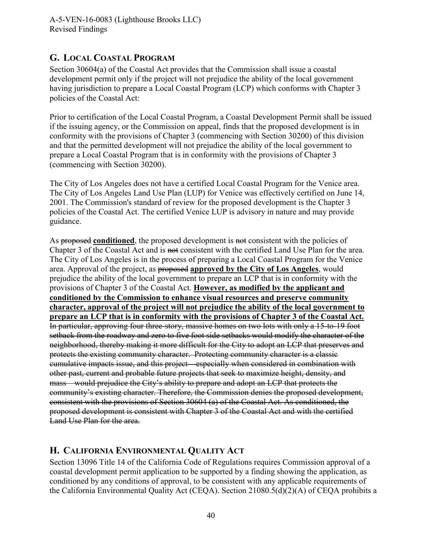## <span id="page-39-0"></span>**G. LOCAL COASTAL PROGRAM**

Section 30604(a) of the Coastal Act provides that the Commission shall issue a coastal development permit only if the project will not prejudice the ability of the local government having jurisdiction to prepare a Local Coastal Program (LCP) which conforms with Chapter 3 policies of the Coastal Act:

Prior to certification of the Local Coastal Program, a Coastal Development Permit shall be issued if the issuing agency, or the Commission on appeal, finds that the proposed development is in conformity with the provisions of Chapter 3 (commencing with Section 30200) of this division and that the permitted development will not prejudice the ability of the local government to prepare a Local Coastal Program that is in conformity with the provisions of Chapter 3 (commencing with Section 30200).

The City of Los Angeles does not have a certified Local Coastal Program for the Venice area. The City of Los Angeles Land Use Plan (LUP) for Venice was effectively certified on June 14, 2001. The Commission's standard of review for the proposed development is the Chapter 3 policies of the Coastal Act. The certified Venice LUP is advisory in nature and may provide guidance.

As proposed **conditioned**, the proposed development is not consistent with the policies of Chapter 3 of the Coastal Act and is not consistent with the certified Land Use Plan for the area. The City of Los Angeles is in the process of preparing a Local Coastal Program for the Venice area. Approval of the project, as proposed **approved by the City of Los Angeles**, would prejudice the ability of the local government to prepare an LCP that is in conformity with the provisions of Chapter 3 of the Coastal Act. **However, as modified by the applicant and conditioned by the Commission to enhance visual resources and preserve community character, approval of the project will not prejudice the ability of the local government to prepare an LCP that is in conformity with the provisions of Chapter 3 of the Coastal Act.** In particular, approving four three-story, massive homes on two lots with only a 15-to-19 foot setback from the roadway and zero to five foot side setbacks would modify the character of the neighborhood, thereby making it more difficult for the City to adopt an LCP that preserves and protects the existing community character. Protecting community character is a classic cumulative impacts issue, and this project—especially when considered in combination with other past, current and probable future projects that seek to maximize height, density, and mass—would prejudice the City's ability to prepare and adopt an LCP that protects the community's existing character. Therefore, the Commission denies the proposed development, consistent with the provisions of Section 30604 (a) of the Coastal Act. As conditioned, the proposed development is consistent with Chapter 3 of the Coastal Act and with the certified Land Use Plan for the area.

## **H. CALIFORNIA ENVIRONMENTAL QUALITY ACT**

Section 13096 Title 14 of the California Code of Regulations requires Commission approval of a coastal development permit application to be supported by a finding showing the application, as conditioned by any conditions of approval, to be consistent with any applicable requirements of the California Environmental Quality Act (CEQA). Section 21080.5(d)(2)(A) of CEQA prohibits a